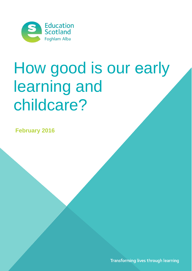

# How good is our early learning and childcare?

**February 2016** 

Transforming lives through learning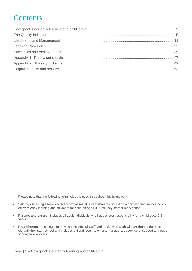# **Contents**

Please note that the following terminology is used throughout this framework:

- **Setting** is a single term which encompasses all establishments, including a childminding service which delivers early learning and childcare for children aged 0 - until they start primary school.
- **Parents and carers** includes all adult individuals who have a legal responsibility for a child aged 0-5 years.
- **Practitioners** is a single term which includes all staff and adults who work with children under 5 years old until they start school and includes childminders, teachers, managers, supervisors, support and out of school care workers.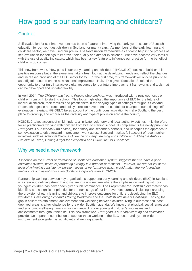# <span id="page-2-0"></span>How good is our early learning and childcare?

# **Context**

Self-evaluation for self-improvement has been a feature of improving the early years sector of Scottish education for our youngest children in Scotland for many years. As members of the early learning and childcare sector, we have used our previous self-evaluation frameworks as a tool to help in the process of self-evaluation for settings to improve their quality and aim for excellence. We have become very familiar with the use of quality indicators, which has been a key feature to influence our practice for the benefit of children's outcomes.

This new framework, 'How good is our early learning and childcare' (HGIOELC), seeks to build on this positive response but at the same time take a fresh look at the developing needs and reflect the changes and increased provision of the ELC sector today. For the first time, this framework will only be published as a digital resource on the new National Improvement Hub. This gives Education Scotland the opportunity to offer truly interactive digital resources for our future improvement frameworks and tools that can be developed and updated flexibly.

In April 2014, *The Children and Young People (Scotland) Act* was introduced with a renewed focus on children from birth to starting school. This focus highlighted the importance of ELC for the future of individual children, their families and practitioners in the varying types of settings throughout Scotland. Recent changes in approach and policy direction have been the conduit for change to our existing selfevaluation materials. HGIOELC takes account of the continuous aspiration to make Scotland the best place to grow up, and embraces the diversity and type of provision across the country.

HGIOELC takes account of childminders, all private, voluntary and local authority settings. It is therefore for all practitioners working with children from birth to starting school. It complements the newly published *How good is our school? (4th edition),* for primary and secondary schools, and underpins the approach to self-evaluation to drive forward improvement work across Scotland. It takes full account of recent policy initiatives such as, *National Practice Guidance on Early Learning and Childcare: Building the Ambition, Pre-birth to Three, Getting it right for every child* and *Curriculum for Excellence.* 

### Why we need a new framework

*'Evidence on the current performance of Scotland's education system suggests that we have a good education system, which is performing strongly in a number of respects. However, we are not yet at the level of achieving consistently excellent levels of performance which would match the world-leading ambition of our vision' Education Scotland Corporate Plan 2013-2016*

Partnership working between key organisations supporting early learning and childcare (ELC) in Scotland is a clear and defining strength and we are in a unique time where the emphasis on working with our youngest children has never been given such prominence. The *Programme for Scottish Government* has identified some significant priorities for the next stage of our improvement journey, including increasing the provision of early learning and childcare to improve outcomes for children, developing the ELC workforce, *Developing Scotland's Young Workforce* and the *Scottish Attainment Challenge.* Closing the gap in children's attainment, achievement and wellbeing between children living in our most and least deprived areas is a key challenge for the wider Scottish agenda. We know that physical, social, emotional and economic wellbeing have a significant impact on our youngest children's successes and achievements throughout their life. This new framework *How good is our early learning and childcare?* provides an important contribution to support those working in the ELC sector and system-wide improvement alongside this significant and exciting agenda.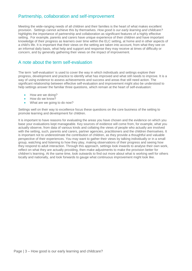# Partnership, collaboration and self-improvement

Meeting the wide-ranging needs of all children and their families is the heart of what makes excellent provision. Settings cannot achieve this by themselves. *How good is our early learning and childcare?* highlights the importance of partnership and collaboration as significant features of a highly effective setting. For example, parents and carers have unique experience of their children and have important knowledge of their progress as learners over time within the ELC setting, at home and in other aspects of a child's life. It is important that their views on the setting are taken into account, from what they see on an informal daily basis, what help and support and response they may receive at times of difficulty or concern, and by generally gathering their views on the impact of improvement.

### A note about the term self-evaluation

The term 'self-evaluation' is used to cover the way in which individuals and settings explore their progress, development and practice to identify what has improved and what still needs to improve. It is a way of using evidence to assess achievements and success and areas that still need action. The significant relationship between effective self-evaluation and improvement might also be understood to help settings answer the familiar three questions, which remain at the heart of self-evaluation:

- How are we doing?
- How do we know?
- What are we going to do now?

Settings well on their way to excellence focus these questions on the core business of the setting to promote learning and development for children.

It is important to have reasons for evaluating the areas you have chosen and the evidence on which you base your evaluations kept manageable. Key sources of evidence will come from, for example, what you actually observe, from data of various kinds and collating the views of people who actually are involved with the setting, such, parents and carers, partner agencies, practitioners and the children themselves. It is important not to underestimate the contribution of children, as they provide a thoughtful and valuable perspective of their experiences. You may want to gather their views by talking individually or in a small group, watching and listening to how they play, making observations of their progress and seeing how they respond to adult interaction. Through this approach, settings look inwards to analyse their own work, reflect on what they are actually providing, then make adjustments to make the provision better for children's learning. At the same time, look outwards to find out more about what is working well for others locally and nationally, and look forwards to gauge what continuous improvement might look like.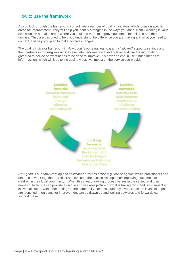### How to use the framework

As you look through the framework, you will see a number of quality indicators which focus on specific areas for improvement. They will help you identify strengths in the ways you are currently working in your own situation and also areas where you could do more to improve outcomes for children and their families. They are designed to help you understand the difference you are making and what you need to do next, and help you plan to make positive changes.

The quality indicator framework in *How good is our early learning and childcare?* supports settings and their partners in **looking inwards**: to evaluate performance at every level and use the information gathered to decide on what needs to be done to improve. It is never an end in itself, but a means to inform action, which will lead to increasingly positive impact on the service you provide.



*How good is our early learning and childcare?* provides national guidance against which practitioners and others can work together to reflect and evaluate their collective impact on improving outcomes for children in their local community. When this inward-looking process begins in the setting and then moves outwards, it can provide a unique and valuable picture of what is having most and least impact at individual, local - with other settings in the community - or local authority level. Once the levels of impact are identified, then plans for improvement can be drawn up and looking outwards and forwards can support these.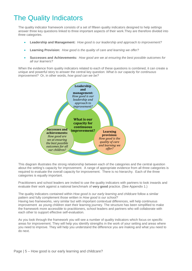# <span id="page-5-0"></span>The Quality Indicators

The quality indicator framework consists of a set of fifteen quality indicators designed to help settings answer three key questions linked to three important aspects of their work.They are therefore divided into three categories.

- **Leadership and Management:** *How good is our leadership and approach to improvement?*
- **Learning Provision:** *How good is the quality of care and learning we offer?*
- **Successes and Achievements***: How good are we at ensuring the best possible outcomes for all our learners?*

When the evidence from quality indicators related to each of these questions is combined, it can create a unique and powerful story to answer the central key question: *What is our capacity for continuous improvement?* Or, in other words, *how good can we be?*



This diagram illustrates the strong relationship between each of the categories and the central question about the setting's capacity for improvement. A range of appropriate evidence from all three categories is required to evaluate the overall capacity for improvement. There is no hierarchy. Each of the three categories is equally important.

Practitioners and school leaders are invited to use the quality indicators with partners to look inwards and evaluate their work against a national benchmark of **very good** practice. (See Appendix 1.)

The quality indicators contained within *How good is our early learning and childcare* follow a similar pattern and fully complement those written in *How good is our school?*

Having two frameworks, very similar but with important contextual differences, will help continuous improvement as young children start their learning journey. The structure has been simplified to make the framework more accessible to practitioners, school leaders and partners who will collaborate with each other to support effective self-evaluation.

As you look through the framework you will see a number of quality indicators which focus on specific areas for improvement. They will help you identify strengths in the work of your setting and areas where you need to improve. They will help you understand the difference you are making and what you need to do next.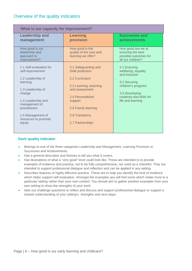# Overview of the quality indicators

| What is our capacity for improvement?                            |                                                                  |                                                                                       |  |  |  |  |
|------------------------------------------------------------------|------------------------------------------------------------------|---------------------------------------------------------------------------------------|--|--|--|--|
| <b>Leadership and</b><br>management                              | <b>Learning</b><br>provision                                     | <b>Successes and</b><br><b>achievements</b>                                           |  |  |  |  |
| How good is our<br>leadership and<br>approach to<br>improvement? | How good is the<br>quality of the care and<br>learning we offer? | How good are we at<br>ensuring the best<br>possible outcomes for<br>all our children? |  |  |  |  |
| 1.1 Self-evaluation for<br>self-improvement                      | 2.1 Safeguarding and<br>child protection                         | 3.1 Ensuring<br>wellbeing, equality<br>and inclusion                                  |  |  |  |  |
| 1.2 Leadership of<br>learning                                    | 2.2 Curriculum                                                   | 3.2 Securing                                                                          |  |  |  |  |
| 1.3 Leadership of<br>change                                      | 2.3 Learning, teaching<br>and assessment                         | children's progress<br>3.3 Developing                                                 |  |  |  |  |
| 1.4 Leadership and<br>management of                              | 2.4 Personalised<br>support                                      | creativity and skills for<br>life and learning                                        |  |  |  |  |
| practitioners                                                    | 2.5 Family learning                                              |                                                                                       |  |  |  |  |
| 1.5 Management of<br>resources to promote                        | 2.6 Transitions                                                  |                                                                                       |  |  |  |  |
| equity                                                           | 2.7 Partnerships                                                 |                                                                                       |  |  |  |  |
|                                                                  |                                                                  |                                                                                       |  |  |  |  |

#### **Each quality indicator**:

- Belongs to one of the three categories Leadership and Management, Learning Provision or Successes and Achievements.
- Has a general descriptor and themes to tell you what it covers.
- Has illustrations of what a "very good" level could look like. These are intended to to provide examples of evidence and practice, not to be fully comprehensive, nor used as a checklist. They are intended to support professional dialogue and reflection and can be applied in any setting.
- Describes features of highly effective practice. These are to help you identify the kind of evidence which helps support self-evaluation. Amongst the examples you will find some which relate more to a particular setting rather than your own context. You should aim to gather positive examples from your own setting to show the strengths of your work.
- Sets out challenge questions to reflect and discuss and support professional dialogue or support a shared understanding of your setting's strengths and next steps.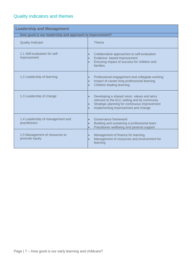| <b>Leadership and Management</b>                        |                                                                                                                                                                                    |  |  |
|---------------------------------------------------------|------------------------------------------------------------------------------------------------------------------------------------------------------------------------------------|--|--|
| How good is our leadership and approach to improvement? |                                                                                                                                                                                    |  |  |
| <b>Quality Indicator</b>                                | <b>Theme</b>                                                                                                                                                                       |  |  |
| 1.1 Self-evaluation for self-<br>improvement            | Collaborative approaches to self-evaluation<br>Evidence- based improvement<br>Ensuring impact of success for children and<br>families                                              |  |  |
| 1.2 Leadership of learning                              | Professional engagement and collegiate working<br>Impact of career-long professional learning<br>Children leading learning                                                         |  |  |
| 1.3 Leadership of change                                | Developing a shared vison, values and aims<br>relevant to the ELC setting and its communty<br>Strategic planning for continuous improvement<br>Implementing improvement and change |  |  |
| 1.4 Leadership of management and<br>practitioners       | Governance framework<br>Building and sustaining a professional team<br>Practitioner wellbeing and pastoral support                                                                 |  |  |
| 1.5 Management of resources to<br>promote equity        | Management of finance for learning<br>Management of resources and environment for<br>learning                                                                                      |  |  |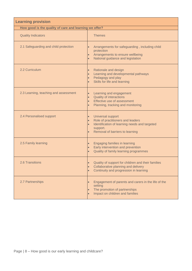| <b>Learning provision</b>                              |                                                                                                                                                                 |  |  |  |  |
|--------------------------------------------------------|-----------------------------------------------------------------------------------------------------------------------------------------------------------------|--|--|--|--|
| How good is the quality of care and learning we offer? |                                                                                                                                                                 |  |  |  |  |
| <b>Quality Indicators</b>                              | <b>Themes</b>                                                                                                                                                   |  |  |  |  |
| 2.1 Safeguarding and child protection                  | Arrangements for safeguarding, including child<br>$\bullet$<br>protection<br>Arrangements to ensure wellbeing<br>$\bullet$<br>National guidance and legislation |  |  |  |  |
| 2.2 Curriculum                                         | Rationale and design<br>Learning and developmental pathways<br>Pedagogy and play<br>Skills for life and learning                                                |  |  |  |  |
| 2.3 Learning, teaching and assessment                  | Learning and engagement<br><b>Quality of interactions</b><br>$\bullet$<br>Effective use of assessment<br>$\bullet$<br>Planning, tracking and monitoring         |  |  |  |  |
| 2.4 Personalised support                               | Universal support<br>Role of practitioners and leaders<br>Identification of learning needs and targeted<br>support.<br>Removal of barriers to learning          |  |  |  |  |
| 2.5 Family learning                                    | Engaging families in learning<br>Early intervention and prevention<br>Quality of family learning programmes                                                     |  |  |  |  |
| <b>2.6 Transitions</b>                                 | Quality of support for children and their families<br>Collaborative planning and delivery<br>$\bullet$<br>Continuity and progression in learning<br>$\bullet$   |  |  |  |  |
| 2.7 Partnerships                                       | Engagement of parents and carers in the life of the<br>$\bullet$<br>setting<br>The promotion of partnerships<br>$\bullet$<br>Impact on children and families    |  |  |  |  |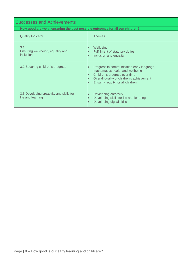| <b>Successes and Achievements</b>                                            |                                                                                                                                                                                                                |  |  |  |  |
|------------------------------------------------------------------------------|----------------------------------------------------------------------------------------------------------------------------------------------------------------------------------------------------------------|--|--|--|--|
| How good are we at ensuring the best possible outcomes for all our children? |                                                                                                                                                                                                                |  |  |  |  |
| <b>Quality Indicator</b>                                                     | <b>Themes</b>                                                                                                                                                                                                  |  |  |  |  |
| 3.1<br>Ensuring well-being, equality and<br>inclusion                        | Wellbeing<br>Fulfillment of statutory duties<br>Inclusion and equality                                                                                                                                         |  |  |  |  |
| 3.2 Securing children's progress                                             | Progress in communication, early language,<br>$\bullet$<br>mathematics, health and wellbeing<br>Children's progress over time<br>Overall quality of children's achievement<br>Ensuring equity for all children |  |  |  |  |
| 3.3 Developing creativity and skills for<br>life and learning                | Developing creativity<br>Developing skills for life and learning<br>Developing digital skills                                                                                                                  |  |  |  |  |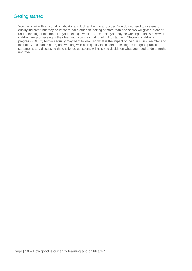# Getting started

You can start with any quality indicator and look at them in any order. You do not need to use every quality indicator, but they do relate to each other so looking at more than one or two will give a broader understanding of the impact of your setting's work. For example, you may be wanting to know how well children are progressing in their learning. You may find it helpful to start with 'Securing children's progress' (QI 3.2) but you equally may want to know so what is the impact of the curriculum we offer and look at 'Curriculum' (QI 2.2) and working with both quality indicators, reflecting on the good practice statements and discussing the challenge questions will help you decide on what you need to do to further improve.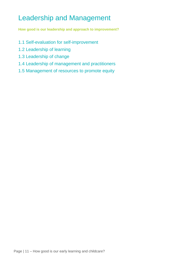# <span id="page-11-0"></span>Leadership and Management

**How good is our leadership and approach to improvement?**

- 1.1 Self-evaluation for self-improvement
- 1.2 Leadership of learning
- 1.3 Leadership of change
- 1.4 Leadership of management and practitioners
- 1.5 Management of resources to promote equity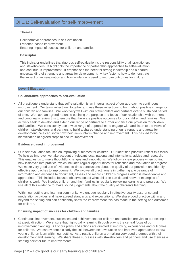### QI 1.1: Self-evaluation for self-improvement

#### **Themes**

Collaborative approaches to self-evaluation Evidence-based improvement Ensuring impact of success for children and families

#### **Descriptor**

This indicator underlines that rigorous self-evaluation is the responsibility of all practitioners and stakeholders. It highlights the importance of partnership approaches to self-evaluation and continuous improvement. It emphasises the need for strong leadership and a shared understanding of strengths and areas for development. A key factor is how to demonstrate the impact of self-evaluation and how evidence is used to improve outcomes for children.

#### **Level 5 illustration:**

#### **Collaborative approaches to self-evaluation**

• All practitioners understand that self-evaluation is an integral aspect of our approach to continuous improvement. Our team reflect well together and use these reflections to bring about positive change for our children and families. We work very well with our stakeholders and partners over a sustained period of time. We have an agreed rationale outlining the purpose and focus of our relationship with partners, and continually review this to ensure that there are positive outcomes for our children and families. We actively seek to develop and extend our range of partners to further enhance our provision for children and families. We consistently use a wide range of approaches to engage with and listen to the views of children, stakeholders and partners to build a shared understanding of our strengths and areas for development. We can show how their views inform change and improvement. This has led to the identification of agreed steps to secure improvement.

#### **Evidence-based improvement**

• Our self-evaluation focuses on improving outcomes for children. Our identified priorities reflect this focus. To help us improve, we take account of relevant local, national and international advice and research. This enables us to make thoughtful changes and innovations. We follow a clear process when putting new initiatives into practice, which includes regular opportunities for reflection and evaluation of progress. We make very good use of evidence to draw conclusions about the quality of our provision and identify effective approaches to improvement. We involve all practitioners in gathering a wide range of information and evidence to document, assess and record children's progress which is manageable and appropriate. This includes focused observations of what children can do and relevant examples of children's work. We involve children and their families in regularly reviewing learning and progress. We use all of this evidence to make sound judgements about the quality of children's learning.

Within our setting and learning community, we engage regularly in effective quality assurance and moderation activities and have agreed standards and expectations. We share good practice within and beyond the setting and can confidently show the improvement this has made to the setting and outcomes for children.

#### **Ensuring impact of success for children and families**

• Continuous improvement, successes and achievements for children and families are vital to our setting's strategic direction. We ensure that high-quality learning through play is the central focus of our improvement planning. All of our plans and actions are directed at improving experiences and outcomes for children. We can evidence clearly the link between self-evaluation and improved approaches to how young children learn within our setting. As a result, children are making very good progress with their development and learning. We share these successes with stakeholders and partners and use them as a starting point for future improvements.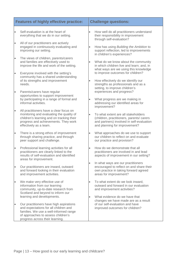|           | <b>Features of highly effective practice:</b>                                                                                                                                                                                     |           | <b>Challenge questions:</b>                                                                                                                                    |
|-----------|-----------------------------------------------------------------------------------------------------------------------------------------------------------------------------------------------------------------------------------|-----------|----------------------------------------------------------------------------------------------------------------------------------------------------------------|
| $\bullet$ | Self-evaluation is at the heart of<br>everything that we do in our setting.                                                                                                                                                       | $\bullet$ | How well do all practitioners understand<br>their responsibility in improvement<br>through self-evaluation?                                                    |
| $\bullet$ | All of our practitioners are actively<br>engaged in continuously evaluating and<br>improving our setting.                                                                                                                         | $\bullet$ | How has using Building the Ambition to<br>support reflection, led to improvements<br>in children's experiences?                                                |
| $\bullet$ | The views of children, parents/carers<br>and families are effectively used to<br>improve the life and work of the setting.                                                                                                        |           | What do we know about the community<br>in which children live and learn; and, in<br>what ways are we using this knowledge                                      |
| $\bullet$ | Everyone involved with the setting's<br>community has a shared understanding<br>of its strengths and improvement                                                                                                                  | $\bullet$ | to improve outcomes for children?<br>How effectively do we identify our                                                                                        |
| $\bullet$ | needs.<br>Parents/carers have regular<br>opportunities to support improvement                                                                                                                                                     |           | strengths as professionals and as a<br>setting, to improve children's<br>experiences and progress?                                                             |
|           | by participating in a range of formal and<br>informal activities.                                                                                                                                                                 | $\bullet$ | What progress are we making in<br>addressing our identified areas for<br>improvement?                                                                          |
| $\bullet$ | All practitioners have a clear focus on<br>monitoring and evaluating the quality of<br>children's learning and on tracking their<br>progress and achievements. They work<br>effectively as a team.                                | $\bullet$ | To what extent are all stakeholders<br>(children, practitioners, parents/ carers<br>and partners) involved in self-evaluation<br>and planning for improvement? |
| $\bullet$ | There is a strong ethos of improvement<br>through sharing practice, and through<br>peer support and challenge.                                                                                                                    | $\bullet$ | What approaches do we use to support<br>our children to reflect on and evaluate<br>our practice and provision?                                                 |
| $\bullet$ | Professional learning activities for all<br>practitioners are clearly linked to the<br>results of self-evaluation and identified<br>areas for improvement.                                                                        | $\bullet$ | How do we demonstrate that all<br>practitioners are involved in and lead<br>aspects of improvement in our setting?                                             |
| $\bullet$ | Our practitioners are inward, outward<br>and forward looking in their evaluation<br>and improvement activities.                                                                                                                   |           | In what ways are our practitioners<br>encouraged to reflect on and share their<br>own practice in taking forward agreed<br>areas for improvement?              |
| $\bullet$ | We make very effective use of<br>information from our learning<br>community, up-to-date research from<br>Scotland and beyond to inform our                                                                                        | $\bullet$ | To what extent do we look inward,<br>outward and forward in our evaluation<br>and improvement activities?                                                      |
|           | learning and developments.<br>Our practitioners have high aspirations<br>and expectations for all children and<br>families. We use a well-informed range<br>of approaches to assess children's<br>progress across their learning. | $\bullet$ | What evidence do we have that<br>changes we have made are as a result<br>of our self-evaluation and have<br>improved outcomes for children?                    |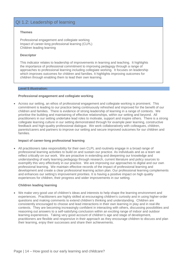### QI 1.2: Leadership of learning

#### **Themes**

Professional engagement and collegiate working Impact of career-long professional learning (CLPL) Children leading learning

#### **Descriptor**

This indicator relates to leadership of improvements in learning and teaching. It highlights the importance of professional commitment to improving pedagogy through a range of approaches to professional learning including collegiate working. It focuses on leadership which improves outcomes for children and families. It highlights improving outcomes for children through enabling them to lead their own learning.

#### **Level 5 illustration:**

#### **Professional engagement and collegiate working**

• Across our setting, an ethos of professional engagement and collegiate working is prominent. This commitment is leading to our practice being continuously refreshed and improved for the benefit of our children and families. There is evidence of strong leadership of learning in a range of contexts. We prioritise the building and maintaining of effective relationships, within our setting and beyond. All practitioners in our setting undertake lead roles to motivate, support and inspire others. There is a strong collegiate learning culture in our setting demonstrated through for example peer learning, constructive feedback and high-quality professional dialogue. We work collaboratively with colleagues, children, parents/carers and partners to improve our setting and secure improved outcomes for our children and families.

#### **Impact of career-long professional learning**

• All practitioners take responsibility for their own CLPL and routinely engage in a broad range of professional learning activities to build on and sustain our practice. As individuals and as a team we reflect critically on our work. We are proactive in extending and deepening our knowledge and understanding of early learning pedagogy through research, current literature and policy sources to exemplify this very effectively in our practice. We are improving our approaches to digital and our own professional learning. We maintain effective records of the impact of professional learning and development and create a clear professional learning action plan. Our professional learning complements and enhances our setting's improvement priorities. It is having a positive impact on high quality experiences for children, their progress and wider improvements in our setting.

#### **Children leading learning**

• We make very good use of children's ideas and interests to help shape the learning environment and experiences. Practitioners are highly skilled at encouraging children's curiosity and in using higher-order questions and making comments to extend children's thinking and understanding. Children are consistently encouraged to choose and lead interactions in their own learning in play and in real-life contexts. They are becoming increasingly confident in interacting with others, discussing possibilities and reasoning out answers to a self-satisfying conclusion within an exciting range of indoor and outdoor learning experiences. Taking very good account of children's age and stage of development, practitioners are flexible and responsive in their approach as they encourage children to discuss and plan their learning, enjoy their successes and share their achievements.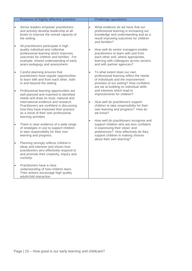|                        | <b>Features of highly effective practice:</b>                                                                                                                                                    |           | <b>Challenge questions:</b>                                                                                                                                                                         |                                                                                                                                                                                                                                 |
|------------------------|--------------------------------------------------------------------------------------------------------------------------------------------------------------------------------------------------|-----------|-----------------------------------------------------------------------------------------------------------------------------------------------------------------------------------------------------|---------------------------------------------------------------------------------------------------------------------------------------------------------------------------------------------------------------------------------|
| $\bullet$<br>$\bullet$ | Senior leaders empower practitioners<br>and actively develop leadership at all<br>levels to improve the overall capacity of<br>the setting.<br>All practitioners participate in high             |           | What evidence do we have that our<br>professional learning is increasing our<br>knowledge and understanding and as a<br>result improving outcomes for children<br>and families?                     |                                                                                                                                                                                                                                 |
|                        | quality individual and collective<br>professional learning which improves<br>outcomes for children and families. For<br>example, shared understanding of early<br>years pedagogy and assessment. | $\bullet$ | How well do senior managers enable<br>practitioners to learn with and from<br>each other and, where appropriate,<br>learning with colleagues across sectors<br>and with partner agencies?           |                                                                                                                                                                                                                                 |
| $\bullet$              | Careful planning ensures that<br>practitioners have regular opportunities<br>to learn with and from each other, both<br>in and beyond the setting.                                               | $\bullet$ | To what extent does our own<br>professional learning reflect the needs<br>of individuals and the improvement<br>priorities of our setting? How confident<br>are we at building on individual skills |                                                                                                                                                                                                                                 |
| $\bullet$              | Professional learning opportunities are<br>well planned and matched to identified<br>needs and draw on local, national and                                                                       |           | and interests which lead to<br>improvements for children?                                                                                                                                           |                                                                                                                                                                                                                                 |
|                        | international evidence and research.<br>Practitioners are confident in discussing<br>how they have improved their practice<br>as a result of their own professional<br>learning activities.      | $\bullet$ | How well do practitioners support<br>children to take responsibility for their<br>own learning and progress? How do<br>we know?                                                                     |                                                                                                                                                                                                                                 |
| $\bullet$              | There is clear evidence of a wide range<br>of strategies in use to support children<br>to take responsibility for their own<br>learning and progress.                                            | $\bullet$ |                                                                                                                                                                                                     | How well do practitioners recognise and<br>support children who are less confident<br>in expressing their views' and<br>preferences? How effectively do they<br>support children in making choices<br>about their own learning? |
| $\bullet$              | Planning strongly reflects children's<br>ideas and interests and shows how<br>practitioners very effectively respond to<br>and promote their creativity, inquiry and<br>curiosity.               |           |                                                                                                                                                                                                     |                                                                                                                                                                                                                                 |
| $\bullet$              | Practitioners have a clear<br>understanding of how children learn.<br>Their actions encourage high quality<br>adult/child interaction                                                            |           |                                                                                                                                                                                                     |                                                                                                                                                                                                                                 |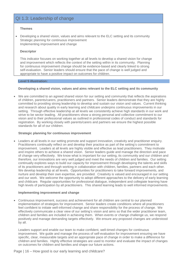# QI 1.3: Leadership of change

#### **Themes**

• Developing a shared vision, values and aims relevant to the ELC setting and its community Strategic planning for continuous improvement Implementing improvement and change

#### **Descriptor**

This indicator focuses on working together at all levels to develop a shared vision for change and improvement which reflects the context of the setting within in its community. Planning for continuous improvement change should be evidence-based and clearly linked to strong self-evaluation. Senior leaders should ensure that the pace of change is well judged and appropriate to have a positive impact on outcomes for children.

#### **Level 5 illustration:**

#### **Developing a shared vision, values and aims relevant to the ELC setting and its community**

We are committed to an agreed shared vision for our setting and community that reflects the aspirations of children, parents/carers, practitioners and partners. Senior leaders demonstrate that they are highly committed to providing strong leadership to develop and sustain our vision and values. Current thinking and research about quality in early learning and childcare underpins continuous improvements in our setting. Through effective leadership at all levels we consistently achieve high standards in our work and strive to be sector leading. All practitioners show a strong personal and collective commitment to our vision and to their professional values as outlined in professional codes of conduct and standards for registration. By working closely with parents/carers and partners we ensure the highest possible standards for all of our children.

#### **Strategic planning for continuous improvement**

• Leaders at all levels in our setting promote and support innovation, creativity and practitioner enquiry. Practitioners continually reflect on and develop their practice as part of the setting's commitment to improvement. Leaders at all levels are highly visible and effective as lead practitioners. They motivate and inspire others to achieve a shared vision. Senior leaders guide and manage the direction and pace of change very effectively. We know what is important for our setting, its community and our children and therefore, our innovations are very well judged and meet the needs of children and families. Our setting continually explores ways to build our capacity for improvement through developing the talents and skills of its practitioners and through working in collaboration with children, families, partners and each other. We develop leadership at all levels. Opportunities for practitioners to take forward improvements, and nurture and develop their own expertise, are provided. Creativity is valued and encouraged in our setting and our work. We welcome the opportunity to adopt different approaches to the delivery of early learning and childcare. Regular opportunities for professional dialogue, independent and collegiate learning have high levels of participation by all practitioners. This shared learning leads to well informed improvements.

#### **Implementing improvement and change**

• Continuous improvement, success and achievement for all children are central to our planned implementation of strategies for improvement. Senior leaders create conditions where all practitioners feel confident to initiate well-informed change and share responsibility for the process of change. We effectively communicate a clear view of our setting's vision and aims so that the wider practitioner team, children and families are included in achieving them. When events or change challenge us, we respond positively and manage demanding targets effectively. We ensure any proposed changes are understood by all.

Leaders support and enable our team to make confident, well-timed changes for continuous improvement. We guide and manage the process of self-evaluation for improvement ensuring we have specific, clear, measurable targets and an appropriate pace of change in order to make a difference for children and families. Highly effective strategies are used to monitor and evaluate the impact of changes on outcomes for children and families and shape our future actions.

Page | 16 – How good is our early learning and childcare?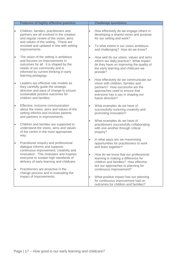|           | <b>Features of highly effective practice:</b>                                                                                                                                                                      |                        | <b>Challenge questions:</b>                                                                                                                                                                                 |
|-----------|--------------------------------------------------------------------------------------------------------------------------------------------------------------------------------------------------------------------|------------------------|-------------------------------------------------------------------------------------------------------------------------------------------------------------------------------------------------------------|
| $\bullet$ | Children, families, practitioners and<br>partners are all involved in the creation<br>and regular review of the vision, aims<br>and values of the setting. These are<br>revisited and updated in line with setting | $\bullet$<br>$\bullet$ | How effectively do we engage others in<br>developing a shared vision and purpose<br>for our setting and work?<br>To what extent is our vision ambitious                                                     |
|           | improvements.                                                                                                                                                                                                      |                        | and challenging? How do we know?                                                                                                                                                                            |
| $\bullet$ | The vision of the setting is ambitious<br>and focuses on improvements in<br>outcomes for all. It is shaped by the<br>needs of our community and is<br>informed by current thinking in early<br>learning pedagogy.  | $\bullet$              | How well do our vision, values and aims<br>inform our daily practice? What impact<br>do they have on improving the quality of<br>the early learning and childcare we<br>provide?                            |
| $\bullet$ | Leaders are effective role models as<br>they carefully guide the strategic<br>direction and pace of change to ensure<br>sustainable positive outcomes for<br>children and families.                                | $\bullet$              | How effectively do we communicate our<br>vision with children, families and<br>partners? How successful are the<br>approaches used to ensure that<br>everyone has a say in shaping our<br>future direction? |
| $\bullet$ | Effective, inclusive communication<br>about the vision, aims and values of the<br>setting informs and involves parents<br>and partners in improvements.                                                            | $\bullet$              | What examples do we have of<br>successfully nurturing creativity and<br>promoting innovation?                                                                                                               |
| $\bullet$ | Children and families are supported to<br>understand the vision, aims and values<br>of the centre in the most appropriate<br>way.                                                                                  |                        | What examples do we have of<br>practitioners successfully collaborating<br>with one another through critical<br>enquiry?                                                                                    |
| $\bullet$ | Practitioner enquiry and professional<br>dialogue informs and supports<br>continuous improvement, creativity and                                                                                                   |                        | In what ways are we maximising<br>opportunities for practitioners to work<br>and learn together?                                                                                                            |
| $\bullet$ | innovation. This motivates and inspires<br>everyone to sustain high standards of<br>delivery of early learning and childcare.<br>Practitioners are proactive in the                                                |                        | How do we know that our professional<br>learning is making a difference for<br>children and families? How effective<br>are our approaches to planning for<br>continuous improvement?                        |
|           | change process and in evaluating the<br>impact of improvements.                                                                                                                                                    | $\bullet$              | What positive impact has our planning<br>for continuous improvement had on<br>outcomes for children and families?                                                                                           |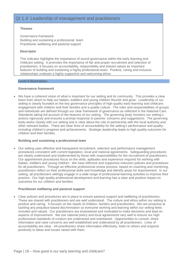# QI 1.4: Leadership of management and practitioners

#### **Themes**

Governance framework Building and sustaining a professional team Practitioner wellbeing and pastoral support

#### **Descriptor**

This indicator highlights the importance of sound governance within the early learning and childcare setting. It promotes the importance of fair and proper recruitment and selection of practitioners. It focuses on accountability, responsibility and shared values as important features of building and sustaining a highly professional team. Positive, caring and inclusive relationships underpin a highly supportive and welcoming ethos.

#### **Level 5 illustration:**

#### **Governance framework**

• We have a coherent vision of what is important for our setting and its community. This provides a clear basis from which to help our babies, toddlers and young children flourish and grow. Leadership of our setting is clearly founded on the key governance principles of high quality early learning and childcare, engagement with children and their families and a quality culture. The roles and responsibilities of groups and individuals are defined through our clear framework of governance as reflected in the National Care Standards taking full account of the features of our setting. The governing body monitors our setting's actions rigorously and ensures a prompt response to parents' concerns and suggestions. The governing body works closely with our setting and is clear about the role of partnership with the local authority and other relevant bodies. There are clear lines of accountability for the setting's performance and quality, including children's progress and achievements. Strategic leadership leads to high quality outcomes for children and their families.

#### **Building and sustaining a professional team**

• Our setting uses effective and transparent recruitment, selection and performance management procedures consistent with current legislation, local and national agreements. Safeguarding procedures are clearly understood and implemented by those with responsibilities for the recruitment of practitioners. Our appointment procedures focus on the skills, aptitudes and experience required for working with babies, toddlers and young children. We have effective and supportive induction policies and procedures for all practitioners. Through an effective professional review process, based on coaching and mentoring, practitioners reflect on their professional skills and knowledge and identify areas for improvement. In our setting, all practitioners willingly engage in a wide range of professional learning activities to improve their practice. Our high quality professional development and learning has a clear and positive impact on outcomes for our children and families.

#### **Practitioner wellbeing and pastoral support**

• Clear policies and procedures are in place to ensure pastoral support and wellbeing of practitioners. These are shared with practitioners and are well understood. The culture and ethos within our setting is positive and caring. It focuses on the needs of children, families and practitioners. We are proactive at tackling any prejudice-based discrimination so everyone working and learning within our setting feels included and valued. Our practitioners are empowered and motivated to make decisions and lead on aspects of improvement. We use national policy and local agreements very well to ensure our high professional standards of conduct are understood and maintained. Opportunities to consult, share information and raise concerns are well established and understood by all practitioners. Lines of accountability are clear. All practitioners share information effectively, listen to others and respond positively to ideas and issues raised with them.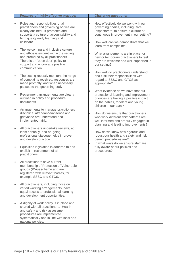|           | <b>Features of highly effective practice:</b>                                                                                                                                                                        |                        | <b>Challenge questions:</b>                                                                                                                                                                                                |
|-----------|----------------------------------------------------------------------------------------------------------------------------------------------------------------------------------------------------------------------|------------------------|----------------------------------------------------------------------------------------------------------------------------------------------------------------------------------------------------------------------------|
| $\bullet$ | Roles and responsibilities of all<br>practitioners and governing bodies are<br>clearly outlined. It promotes and<br>supports a culture of accountability and<br>high quality early learning and<br>childcare.        | $\bullet$<br>$\bullet$ | How effectively do we work with our<br>governing bodies, including Care<br>Inspectorate, to ensure a culture of<br>continuous improvement in our setting?<br>How well can we demonstrate that we<br>learn from complaints? |
| $\bullet$ | The welcoming and inclusive culture<br>and ethos is evident within the setting<br>and promoted by all practitioners.<br>There is an 'open door' policy to<br>support and encourage positive<br>communication.        | $\bullet$              | What arrangements are in place for<br>new or temporary practitioners to feel<br>they are welcome and well supported in<br>our setting?                                                                                     |
| $\bullet$ | The setting robustly monitors the range<br>of complaints received, responses are<br>made promptly, and when necessary<br>passed to the governing body.                                                               | $\bullet$              | How well do practitioners understand<br>and fulfil their responsibilities with<br>regard to SSSC and GTCS as<br>appropriate?                                                                                               |
| $\bullet$ | Recruitment arrangements are clearly<br>outlined in policy and procedure<br>documents.                                                                                                                               |                        | What evidence do we have that our<br>professional learning and improvement<br>priorities are having a positive impact<br>on the babies, toddlers and young<br>children in our care?                                        |
| $\bullet$ | Arrangements to manage practitioners<br>discipline, attendance/absence and<br>grievance are understood and<br>implemented fairly.                                                                                    | $\bullet$              | How do we ensure that practitioners<br>who work different shift patterns are<br>well informed and are fully engaged in<br>planning and leading improvements?                                                               |
| $\bullet$ | All practitioners undertake reviews, at<br>least annually, and on-going<br>professional dialogue helps improve<br>and develop practice.                                                                              |                        | How do we know how rigorous and<br>robust our health and safety and risk<br>benefit procedures are?<br>In what ways do we ensure staff are                                                                                 |
| $\bullet$ | Equalities legislation is adhered to and<br>explicit in recruitment of all<br>practitioners.                                                                                                                         |                        | fully aware of our policies and<br>procedures?                                                                                                                                                                             |
|           | All practitioners have current<br>membership of Protection of Vulnerable<br>groups (PVG) scheme and are<br>registered with relevant bodies, for<br>example SSSC and GTCS.                                            |                        |                                                                                                                                                                                                                            |
|           | All practitioners, including those on<br>varied working arrangements, have<br>equal access to professional learning<br>and development opportunities.                                                                |                        |                                                                                                                                                                                                                            |
|           | A dignity at work policy is in place and<br>shared with all practitioners. Health<br>and safety and risk assessment<br>procedures are implemented<br>systematically and in line with local and<br>national policies. |                        |                                                                                                                                                                                                                            |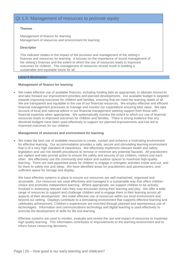### QI 1.5: Management of resources to promote equity

#### **Themes**

Management of finance for learning Management of resources and environment for learning

#### **Descriptor**

This indicator relates to the impact of the provision and management of the setting's finances and resources for learning. It focuses on the importance of sound management of the setting's finances and the extent to which the use of resources leads to improved outcomes for children. The management of resources should result in building a sustainable and equitable future for all.

#### **Level 5 illustration:**

#### **Management of finance for learning**

• We make effective use of available finances, including funding bids as appropriate, to allocate resources and take forward our improvement priorities and planned developments. Our available budget is targeted towards improving outcomes for children and families, ensuring that we meet the learning needs of all. We are transparent and equitable in the use of our financial resources. We employ effective and efficient financial management processes to manage and monitor our expenditure ensuring best value. We take account of local and national advice in our financial management seeking support from those with financial expertise when appropriate. We systematically monitor the extent to which our use of financial resources leads to improved outcomes for children and families. There is strong evidence that any devolved budgets have been used effectively to support our planned improvements and has led to improved outcomes for our children.

#### **Management of resources and environment for learning**

• We make the best use of available resources to create, sustain and enhance a motivating environment for effective learning. Our accommodation provides a safe, secure and stimulating learning environment that is of a very high standard of cleanliness. We effectively implement relevant health and safety legislation and use risk benefit procedures to remove or minimise any potential hazards. All practitioners are vigilant and take prompt action to ensure the safety and security of our children, visitors and each other. We effectively use the community and indoor and outdoor spaces to maximise high-quality learning. There are well-appointed areas for children to engage in energetic activities inside and out, and for them to safely rest and sleep. We have identified areas for practitioners and parents/carers, and sufficient space for storage and display.

We have effective systems in place to ensure our resources are well maintained, organised and accessible. Our resources are used effectively and managed in a sustainable way that offers children choice and promotes independent learning. Where appropriate, we support children to be actively involved in assessing relevant risks they may encounter during their learning and play. We offer a wide range of resources to support and challenge children and to engage them in their learning across all aspects of their development. We make effective use of resources within our local environment and beyond our setting. Displays contribute to a stimulating environment that supports effective learning and celebrates achievement. Children's experiences are enriched through planned and spontaneous use of technologies. Information and communications technology and digital learning is used effectively to promote the development of skills for life and learning.

Effective systems are used to monitor, evaluate and review the use and impact of resources to maximise high quality learning. This information contributes to improvements to the learning environment and to inform future resourcing decisions.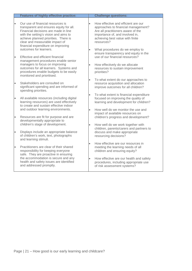|           | <b>Features of highly effective practice:</b>                                                                                                                                                                                                                                 |           | <b>Challenge questions:</b>                                                                                                                                                                           |
|-----------|-------------------------------------------------------------------------------------------------------------------------------------------------------------------------------------------------------------------------------------------------------------------------------|-----------|-------------------------------------------------------------------------------------------------------------------------------------------------------------------------------------------------------|
| $\bullet$ | Our use of financial resources is<br>transparent and ensures equity for all.<br>Financial decisions are made in line<br>with the setting's vision and aims to<br>achieve planned priorities. There is<br>clear and measurable impact of<br>financial expenditure on improving | $\bullet$ | How effective and efficient are our<br>approaches to financial management?<br>Are all practitioners aware of the<br>importance of, and involved in,<br>achieving best value with finite<br>resources? |
| $\bullet$ | outcomes for learners.<br>Effective and efficient financial<br>management procedures enable senior                                                                                                                                                                            | $\bullet$ | What procedures do we employ to<br>ensure transparency and equity in the<br>use of our financial resources?                                                                                           |
|           | managers to focus on improving<br>outcomes for all learners. Systems and<br>procedures enable budgets to be easily<br>monitored and prioritised.                                                                                                                              | $\bullet$ | How effectively do we allocate<br>resources to sustain improvement<br>priorities?                                                                                                                     |
| $\bullet$ | Stakeholders are consulted on<br>significant spending and are informed of<br>spending priorities.                                                                                                                                                                             | $\bullet$ | To what extent do our approaches to<br>resource acquisition and allocation<br>improve outcomes for all children?                                                                                      |
| $\bullet$ | All available resources (including digital<br>learning resources) are used effectively<br>to create and sustain effective indoor                                                                                                                                              | $\bullet$ | To what extent is financial expenditure<br>focused on improving the quality of<br>learning and development for children?                                                                              |
| $\bullet$ | and outdoor learning environments.<br>Resources are fit for purpose and are<br>developmentally appropriate to                                                                                                                                                                 | $\bullet$ | How well do we monitor the use and<br>impact of available resources on<br>children's progress and development?                                                                                        |
| $\bullet$ | children's stage of development.<br>Displays include an appropriate balance<br>of children's work, text, photographs                                                                                                                                                          | $\bullet$ | How well do we work together with<br>children, parents/carers and partners to<br>discuss and make appropriate<br>resourcing decisions?                                                                |
|           | and learning stimuli.                                                                                                                                                                                                                                                         | $\bullet$ | How effective are our resources in                                                                                                                                                                    |
| $\bullet$ | Practitioners are clear of their shared<br>responsibility for keeping everyone<br>safe. They are proactive in ensuring                                                                                                                                                        |           | meeting the learning needs of all<br>children and ensuring equity?                                                                                                                                    |
|           | the accommodation is secure and any<br>health and safety issues are identified<br>and addressed promptly.                                                                                                                                                                     | $\bullet$ | How effective are our health and safety<br>procedures, including appropriate use<br>of risk assessment systems?                                                                                       |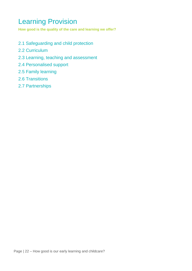# <span id="page-22-0"></span>Learning Provision

**How good is the quality of the care and learning we offer?**

- 2.1 Safeguarding and child protection
- 2.2 Curriculum
- 2.3 Learning, teaching and assessment
- 2.4 Personalised support
- 2.5 Family learning
- 2.6 Transitions
- 2.7 Partnerships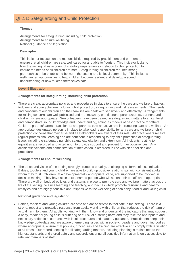# QI 2.1: Safeguarding and Child Protection

#### **Themes**

Arrangements for safeguarding, including child protection Arrangements to ensure wellbeing National guidance and legislation

#### **Descriptor**

This indicator focuses on the responsibilities required by practitioners and partners to ensure that all children are safe, well cared for and able to flourish. This indicator looks to how the setting takes account of statutory requirements in relation to child protection to ensure the needs of all children are met. Safeguarding all children requires strong partnerships to be established between the setting and its local community. This includes well-planned opportunities to help children become resilient and develop a sound understanding of how to keep themselves safe.

#### **Level 5 illustration:**

#### **Arrangements for safeguarding, including child protection**

• There are clear, appropriate policies and procedures in place to ensure the care and welfare of babies, toddlers and young children including child protection, safeguarding and risk assessments. The needs and concerns of our children and their families are dealt with sensitively and effectively. Arrangements for raising concerns are well publicised and are known by practitioners, parents/carers, partners and children, where appropriate. Senior leaders have been trained in safeguarding matters to a high level and demonstrate sound knowledge and understanding, acting as models of best practice for others. Children, parents/carers, practitioners and partners take an active role in promoting care and welfare. An appropriate, designated person is in place to take lead responsibility for any care and welfare or child protection concerns that may arise and all stakeholders are aware of their role. All practitioners receive regular professional learning and are confident in responding to any child protection or safeguarding issue, including e-safeguarding, child sexual exploitation and extremism. All incidents relating to equalities are recorded and acted upon to provide support and prevent further occurrences. Any accidents/incidents and administration of medication is recorded in line with clear policies and procedures.

#### **Arrangements to ensure wellbeing**

• The ethos and vision of the setting strongly promotes equality, challenging all forms of discrimination. Babies, toddlers and young children are able to build up positive relationships with consistent adults whom they trust. Children, at a developmentally appropriate stage, are supported to be involved in decision making. They have access to a named person who will act on their behalf when appropriate. There are well-embedded policies and systems in place to promote care and welfare matters across the life of the setting. We use learning and teaching approaches which promote resilience and healthy lifestyles and are highly sensitive and responsive to the wellbeing of each baby, toddler and young child.

#### **National guidance and legislation**

• Babies, toddlers and young children are safe and are observed to feel safe in the setting. There is a strong, robust and proactive response from adults working with children that reduces the risk of harm or actual harm to them. All adults working with them know and understand the indicators that may suggest a baby, toddler or young child is suffering or at risk of suffering harm and they take the appropriate and necessary action in accordance with local procedures and statutory guidance. Practitioners keep their knowledge up-to-date and are aware of emerging issues within society. Leaders and governing bodies where appropriate, ensure that policies, procedures and training are effective and comply with legislation at all times. Our record keeping for all safeguarding matters, including planning is maintained to the highest standards and stored safely and securely ensuring all sensitive information is only accessible to relevant members of staff.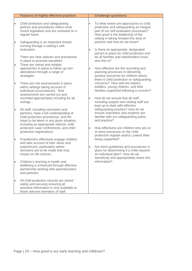|                        | <b>Features of highly effective practice:</b>                                                                                                                                                                              |           | <b>Challenge questions:</b>                                                                                                                                                                                                                |
|------------------------|----------------------------------------------------------------------------------------------------------------------------------------------------------------------------------------------------------------------------|-----------|--------------------------------------------------------------------------------------------------------------------------------------------------------------------------------------------------------------------------------------------|
| $\bullet$<br>$\bullet$ | Child protection and safeguarding<br>policies and procedures reflect most<br>recent legislation and are reviewed on a<br>regular basis.<br>Safeguarding is an important thread                                             |           | To what extent are approaches to child<br>protection and safeguarding an integral<br>part of our self-evaluation processes?<br>How good is the leadership of the<br>setting in taking forward this area of<br>practice and how do we know? |
|                        | running through a setting's self-<br>evaluation.<br>There are clear policies and procedures<br>in place to promote equalities.                                                                                             |           | Is there an appropriate, designated<br>person in place for child protection and<br>do all families and stakeholders know<br>who this is?                                                                                                   |
| $\bullet$              | There are robust and reliable<br>approaches in place to follow up non-<br>attendance through a range of<br>strategies.                                                                                                     | $\bullet$ | How effective are the recording and<br>planning processes in delivering<br>positive outcomes for children where<br>there is child protection or safeguarding                                                                               |
| $\bullet$              | There are risk assessments in place<br>within settings taking account of<br>individual circumstances. Risk<br>assessments are carried out and<br>recorded appropriately including for all                                  |           | concerns? How well are babies,<br>toddlers, young children, and their<br>families supported following a concern?<br>How do we ensure that all staff,                                                                                       |
| $\bullet$              | outings.<br>All staff, including volunteers and<br>partners, have a full understanding of<br>child protection procedures, and the<br>steps to be taken in any given situation,<br>including an appropriate referral, child |           | including support and visiting staff are<br>kept up-to-date with effective<br>safeguarding practice? How do we<br>ensure volunteers and students are<br>familiar with our safeguarding policy<br>and practice?                             |
| $\bullet$              | protection case conferences, and child<br>protection registrations.<br>Practitioners effectively engage children                                                                                                           | $\bullet$ | How effectively are children who are on<br>or were previously on the child<br>protection register and/or Looked After<br>being supported?                                                                                                  |
|                        | and take account of their views and<br>experiences; particularly where<br>decisions are to be made that may<br>impact on life choices.                                                                                     |           | Are there guidelines and procedures in<br>place for determining if a child requires<br>an individual plan? How do we<br>sensitively and appropriately share this                                                                           |
| $\bullet$              | Children's learning in health and<br>wellbeing is enhanced through effective<br>partnership working with parents/carers<br>and partners.                                                                                   |           | information?                                                                                                                                                                                                                               |
| $\bullet$              | All child protection records are stored<br>safely and securely ensuring all<br>sensitive information is only available to<br>those relevant members of staff.                                                              |           |                                                                                                                                                                                                                                            |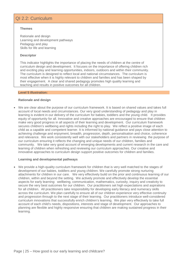# QI 2.2: Curriculum

#### **Themes**

Rationale and design Learning and development pathways Pedagogy and play Skills for life and learning

#### **Descriptor**

This indicator highlights the importance of placing the needs of children at the centre of curriculum design and development. It focuses on the importance of offering children rich and exciting play and learning opportunities, indoors, outdoors and within their community. The curriculum is designed to reflect local and national circumstances. The curriculum is most effective when it is highly relevant to children and families and has been shaped by their engagement. A clear and shared pedagogy promotes high quality learning and teaching and results in positive outcomes for all children.

#### **Level 5 illustration:**

#### **Rationale and design**

• We are clear about the purpose of our curriculum framework. It is based on shared values and takes full account of local needs and circumstances. Our very good understanding of pedagogy and play in learning is evident in our delivery of the curriculum for babies, toddlers and the young child. It provides equity of opportunity for all. Innovative and creative approaches are encouraged to ensure that children make very good progress in all aspects of their learning and development. Our curriculum framework secures children's wellbeing and rights including the right to play. We reflect a positive image of each child as a capable and competent learner. It is informed by national guidance and pays close attention to achieving challenge and enjoyment, breadth, progression, depth, personalisation and choice, coherence and relevance. We work consistently well with our stakeholders and partners in reviewing the purpose of our curriculum ensuring it reflects the changing and unique needs of our children, families and community. We take very good account of emerging developments and current research in the care and learning of children when refreshing and reviewing our curriculum approaches. Our creative and innovative approaches to curriculum design support positive outcomes for children and families.

#### **Learning and developmental pathways**

• We provide a high-quality curriculum framework for children that is very well matched to the stages of development of our babies, toddlers and young children. We carefully promote strong nurturing attachments for children in our care. We very effectively build on the prior and continuous learning of our children, within and beyond the setting. We actively promote and effectively develop the essential aspects for early learning: wellbeing, communication, mathematics, curiosity, inquiry and creativity to secure the very best outcomes for our children. Our practitioners set high expectations and aspirations for all children. All practitioners take responsibility for developing early literacy and numeracy skills across the curriculum. We plan carefully to ensure all of our children experience very effective continuity and progression through to the next stage of their learning. Our practitioners introduce well-considered curriculum innovations that successfully enrich children's learning. We plan very effectively to take full account of each child's needs, dispositions, interests and stage of development. Our approaches to planning are flexible and highly responsive ensuring that children are making sustained progress in their learning.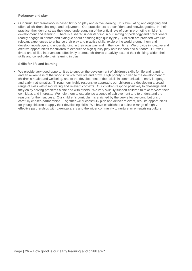#### **Pedagogy and play**

• Our curriculum framework is based firmly on play and active learning. It is stimulating and engaging and offers all children challenge and enjoyment. Our practitioners are confident and knowledgeable. In their practice, they demonstrate their deep understanding of the critical role of play in promoting children's development and learning. There is a shared understanding in our setting of pedagogy and practitioners readily engage in debate and dialogue about ensuring high quality play. Children are provided with rich, relevant experiences to enhance their play and practise skills, explore the world around them and develop knowledge and understanding in their own way and in their own time. We provide innovative and creative opportunities for children to experience high quality play both indoors and outdoors. Our welltimed and skilled interventions effectively promote children's creativity, extend their thinking, widen their skills and consolidate their learning in play.

#### **Skills for life and learning**

• We provide very good opportunities to support the development of children's skills for life and learning, and an awareness of the world in which they live and grow. High priority is given to the development of children's health and wellbeing, and to the development of their skills in communication, early language and early mathematics. Through our highly responsive approach, our children are developing a broad range of skills within motivating and relevant contexts. Our children respond positively to challenge and they enjoy solving problems alone and with others. We very skilfully support children to take forward their own ideas and interests. We help them to experience a sense of achievement and to understand the reasons for their success. Our children's curriculum is enriched by the very effective contributions of carefully chosen partnerships. Together we successfully plan and deliver relevant, real-life opportunities for young children to apply their developing skills. We have established a suitable range of highly effective partnerships with parents/carers and the wider community to nurture an enterprising culture.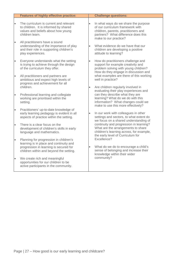|           | <b>Features of highly effective practice:</b>                                                                                             |           | <b>Challenge questions:</b>                                                                                                                                                      |
|-----------|-------------------------------------------------------------------------------------------------------------------------------------------|-----------|----------------------------------------------------------------------------------------------------------------------------------------------------------------------------------|
| $\bullet$ | The curriculum is current and relevant<br>to children. It is informed by shared<br>values and beliefs about how young<br>children learn.  | $\bullet$ | In what ways do we share the purpose<br>of our curriculum framework with<br>children, parents, practitioners and<br>partners? What difference does this<br>make to our practice? |
| $\bullet$ | All practitioners have a sound<br>understanding of the importance of play<br>and their role in supporting children's<br>play experiences. |           | What evidence do we have that our<br>children are developing a positive<br>attitude to learning?                                                                                 |
| $\bullet$ | Everyone understands what the setting<br>is trying to achieve through the design<br>of the curriculum they offer.                         | $\bullet$ | How do practitioners challenge and<br>support for example creativity and<br>problem solving with young children?<br>How do they engage in discussion and                         |
| $\bullet$ | All practitioners and partners are<br>ambitious and expect high levels of<br>progress and achievement for all                             |           | what examples are there of this working<br>well in practice?                                                                                                                     |
|           | children.                                                                                                                                 | $\bullet$ | Are children regularly involved in<br>evaluating their play experiences and                                                                                                      |
| $\bullet$ | Professional learning and collegiate<br>working are prioritised within the<br>setting.                                                    |           | can they describe what they are<br>learning? What do we do with this<br>information? What changes could we<br>make to use this more effectively?                                 |
| $\bullet$ | Practitioners' up-to-date knowledge of<br>early learning pedagogy is evident in all<br>aspects of practice within the setting.            | $\bullet$ | In our work with colleagues in other<br>settings and sectors, to what extent do<br>we focus on a shared understanding of                                                         |
| $\bullet$ | There is a clear focus on the<br>development of children's skills in early<br>language and mathematics.                                   |           | continuity and progression in learning?<br>What are the arrangements to share<br>children's learning across, for example,<br>the early level of Curriculum for                   |
| $\bullet$ | Planning for progression in children's<br>learning is in place and continuity and                                                         |           | Excellence?                                                                                                                                                                      |
|           | progression in learning is secured for<br>children within and beyond the setting.                                                         | $\bullet$ | What do we do to encourage a child's<br>sense of belonging and increase their<br>knowledge within their wider                                                                    |
| $\bullet$ | We create rich and meaningful<br>opportunities for our children to be<br>active participants in the community.                            |           | community?                                                                                                                                                                       |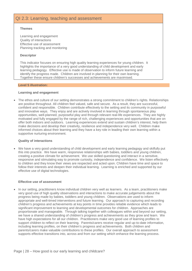# QI 2.3: Learning, teaching and assessment

#### **Themes**

Learning and engagement Quality of interactions Effective use of assessment Planning tracking and monitoring

#### **Descriptor**

This indicator focuses on ensuring high quality learning experiences for young children. It highlights the importance of a very good understanding of child development and early learning pedagogy. Effective use is made of observation to inform future learning and identify the progress made. Children are involved in planning for their own learning. Together these ensure children's successes and achievements are maximised.

#### **Level 5 illustration:**

#### **Learning and engagement**

• The ethos and culture of our setting demonstrates a strong commitment to children's rights. Relationships are positive throughout. All children feel valued, safe and secure. As a result, they are successful, confident and responsible. Children contribute effectively to the setting and its community in purposeful and innovative ways. They enjoy and are actively involved in learning through spontaneous play opportunities, well-planned, purposeful play and through relevant real-life experiences. They are highly motivated and fully engaged by the range of rich, challenging experiences and opportunities that are on offer both indoors and outdoors. Learning experiences extend and sustain children's interest, help them make decisions and develop their creativity, resilience and independence very well. Children make informed choices about their learning and they have a key role in leading their own learning within a supportive nurturing environment.

#### **Quality of interactions**

• We have a very good understanding of child development and early learning pedagogy and skilfully put this into practice. We have warm, responsive relationships with babies, toddlers and young children, creating a positive climate for achievement. We use skilled questioning and interact in a sensitive, responsive and stimulating way to promote curiosity, independence and confidence. We listen effectively to children and they know their views are respected and acted upon. Children have time and space to follow their interests and deepen their individual learning. Learning is enriched and supported by our effective use of digital technologies.

#### **Effective use of assessment**

• In our setting, practitioners know individual children very well as learners. As a team, practitioners make very good use of high quality observations and interactions to make accurate judgements about the progress being made by babies, toddlers and young children. Observations are used to inform appropriate and well-timed interventions and future learning. Our approach to capturing and recording children's progress and achievements at key points in time provides reliable evidence which leads to significant improvement to learning and developmental outcomes for children. Approaches are proportionate and manageable. Through talking together with colleagues within and beyond our setting, we have a shared understanding of children's progress and achievements as they grow and learn. We have high expectations for all our children. Practitioners make very good use of learning profiles to support children to reflect on their learning. Parents/carers receive regular and up-to-date information, including learning profiles, on their children's progress and achievements. Both children and parents/carers make valuable contributions to these profiles. Our overall approach to assessment supports effective transitions into, across and from our setting which enhance the learning process.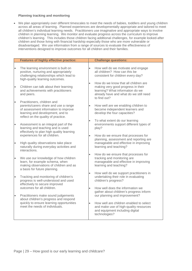#### **Planning tracking and monitoring**

• We plan appropriately over different timescales to meet the needs of babies, toddlers and young children across all areas of learning. Planned experiences are developmentally appropriate and tailored to meet all children's individual learning needs. Practitioners use imaginative and appropriate ways to involve children in planning learning. We monitor and evaluate progress across the curriculum to improve children's learning. This includes those children facing additional challenges, for example looked-after children and those living with financial hardship especially those who are more vulnerable or disadvantaged. We use information from a range of sources to evaluate the effectiveness of interventions designed to improve outcomes for all children and their families.

|           | <b>Features of highly effective practice:</b>                                                                                                                                          |           | <b>Challenge questions:</b>                                                                                                                                              |
|-----------|----------------------------------------------------------------------------------------------------------------------------------------------------------------------------------------|-----------|--------------------------------------------------------------------------------------------------------------------------------------------------------------------------|
| $\bullet$ | The learning environment is built on<br>positive, nurturing and appropriately<br>challenging relationships which lead to<br>high-quality learning outcomes.                            |           | How well do we motivate and engage<br>all children? How can this be<br>consistent for children every day?                                                                |
|           | Children can talk about their learning<br>and achievements with practitioners<br>and peers.                                                                                            | $\bullet$ | How do we know that all children are<br>making very good progress in their<br>learning? What information do we<br>already have and what do we still need<br>to find out? |
| $\bullet$ | Practitioners, children and<br>parents/carers share and use a range<br>of assessment information to improve<br>learning and development, and to<br>reflect on the quality of practice. | $\bullet$ | How well are we enabling children to<br>become independent learners and<br>develop the four capacities?                                                                  |
| $\bullet$ | Assessment is an integral part of the<br>learning and teaching and is used<br>effectively to plan high quality learning                                                                | $\bullet$ | To what extent do our learning<br>environments support different types of<br>play?                                                                                       |
| $\bullet$ | experiences for all children.<br>High quality observations take place<br>naturally during everyday activities and                                                                      | $\bullet$ | How do we ensure that processes for<br>planning, assessment and reporting are<br>manageable and effective in improving<br>learning and teaching?                         |
|           | interactions.<br>We use our knowledge of how children<br>learn, for example schema, when                                                                                               | $\bullet$ | How do we ensure that processes for<br>tracking and monitoring are<br>manageable and effective in improving                                                              |
|           | making observations of children and as<br>a basis for future planning.                                                                                                                 | $\bullet$ | learning and teaching?<br>How well do we support practitioners in                                                                                                        |
| $\bullet$ | Tracking and monitoring of children's<br>progress is well-understood and used<br>effectively to secure improved                                                                        |           | undertaking their role in evaluating<br>children's progress?                                                                                                             |
| $\bullet$ | outcomes for all children.<br>Practitioners make sound judgements                                                                                                                      | $\bullet$ | How well does the information we<br>gather about children's progress inform<br>our planning and improvement?                                                             |
|           | about children's progress and respond<br>quickly to ensure learning opportunities<br>meet the needs of individuals.                                                                    | $\bullet$ | How well are children enabled to select<br>and make use of high-quality resources<br>and equipment including digital<br>technologies?                                    |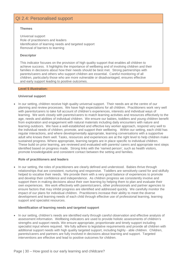# QI 2.4: Personalised support

#### **Themes**

Universal support Role of practitioners and leaders Identification of learning needs and targeted support Removal of barriers to learning

#### **Descriptor**

This indicator focuses on the provision of high quality support that enables all children to achieve success. It highlights the importance of wellbeing and of involving children and their families in decisions about how their needs should be best met. Strong partnerships with parents/carers and others who support children are essential. Careful monitoring of all children, particularly those who are more vulnerable or disadvantaged, ensures effective and early support leading to positive outcomes.

#### **Level 5 illustration:**

#### **Universal support**

• In our setting, children receive high quality universal support. Their needs are at the centre of our planning and review processes. We have high expectations for all children. Practitioners work very well with parents/carers to take full account of children's experiences, interests and individual ways of learning. We work closely with parents/carers to match learning activities and resources effectively to the age, needs and abilities of individual children. We ensure our babies, toddlers and young children benefit from exploration and engagement with natural materials including daily encounters with nature and learning outdoors. We have a well-established and effective key worker approach, respond very well to the individual needs of children, promote, and support their wellbeing. Within our setting, each child has regular interactions, and where developmentally appropriate, learning conversations with a supportive adult who knows them well. Tasks, resources and experiences are at the right level to help children make sustained progress. Where appropriate, learning targets are in place specific to individual children. These build on prior learning, are reviewed and evaluated with parents/ carers and appropriate next steps identified based on progress made. Strong links with the 'named person', such as health visitors, promote knowledgeable and consistent contact between the setting and families.

#### **Role of practitioners and leaders**

• In our setting, the roles of practitioners are clearly defined and understood. Babies thrive through relationships that are consistent, nurturing and responsive. Toddlers are sensitively cared for and skilfully helped to vocalise their needs. We provide them with a very good balance of experiences to promote and develop their confidence and independence. As children progress we consistently involve and support them in making decisions about their own learning by helping them to plan and evaluate their own experiences. We work effectively with parents/carers, other professionals and partner agencies to ensure factors that may inhibit progress are identified and addressed quickly. We carefully monitor the impact of our plans for individual children. Practitioners increase their ability to meet the diverse development and learning needs of each child through effective use of professional learning, learning support and specialist resources.

#### **Identification of learning needs and targeted support**

• In our setting, children's needs are identified early through careful observation and effective analysis of assessment information. Wellbeing indicators are used to provide holistic assessments of children's strengths and support needs. We ensure appropriate, proportionate and timely support including specialist input where required. We fully adhere to legislative requirements and provide all children with additional support needs with high quality targeted support, including highly - able children. Children, parents/carers and partners are fully involved in decisions about learning and support. Targeted interventions are effective and lead to positive outcomes for children.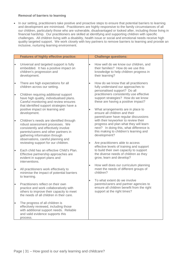#### **Removal of barriers to learning**

• In our setting, practitioners take positive and proactive steps to ensure that potential barriers to learning and development are minimised. Practitioners are highly responsive to the family circumstances of all our children, particularly those who are vulnerable, disadvantaged or looked after, including those living in financial hardship. Our practitioners are skilled at identifying and supporting children with specific challenges. All children living with a disability, health issue or social and emotional needs receive high quality targeted support. We work closely with key partners to remove barriers to learning and provide an inclusive, nurturing learning environment.

|           | <b>Features of highly effective practice:</b>                                                                                                                                                                                     |           | <b>Challenge questions:</b>                                                                                                                                                         |
|-----------|-----------------------------------------------------------------------------------------------------------------------------------------------------------------------------------------------------------------------------------|-----------|-------------------------------------------------------------------------------------------------------------------------------------------------------------------------------------|
| $\bullet$ | Universal and targeted support is fully<br>embedded. It has a positive impact on<br>children's progression and<br>development.                                                                                                    | $\bullet$ | How well do we know our children, and<br>their families? How do we use this<br>knowledge to help children progress in<br>their learning?                                            |
| $\bullet$ | There are high expectations for all<br>children across our setting.                                                                                                                                                               |           | How do we know that all practitioners<br>fully understand our approaches to<br>personalised support? Do all                                                                         |
| $\bullet$ | Children requiring additional support<br>have high quality, individualised plans.<br>Careful monitoring and review ensures<br>that identified support strategies have a                                                           |           | practitioners consistently use effective<br>support strategies? How do we know<br>these are having a positive impact?                                                               |
|           | positive impact on learning and<br>development.                                                                                                                                                                                   | $\bullet$ | What arrangements are in place to<br>ensure all children and their<br>parent/carer have regular discussions                                                                         |
| $\bullet$ | Children's needs are identified through<br>robust assessment processes. We<br>consistently and effectively involve<br>parents/carers and other partners in<br>gathering information through<br>observations, careful planning and |           | with their keyworker to review their<br>progress and plan what they will learn<br>next? In doing this, what difference is<br>this making to children's learning and<br>development? |
| $\bullet$ | reviewing support for our children.<br>Each child has an effective Child's Plan.                                                                                                                                                  | $\bullet$ | Are practitioners able to access<br>effective levels of training and support<br>to build their own capacity to support                                                              |
|           | Effective partnership approaches are<br>evident in support plans and<br>interventions.                                                                                                                                            |           | the diverse needs of children as they<br>grow, learn and develop?                                                                                                                   |
| $\bullet$ | All practitioners work effectively to<br>minimise the impact of potential barriers<br>to learning.                                                                                                                                | $\bullet$ | How well does our curriculum planning<br>meet the needs of different groups of<br>children?                                                                                         |
| $\bullet$ | Practitioners reflect on their own<br>practice and work collaboratively with<br>others to improve their capacity to meet<br>the needs of all children in their care.                                                              | $\bullet$ | To what extent do we involve<br>parents/carers and partner agencies to<br>ensure all children benefit from the right<br>support at the right times?                                 |
| $\bullet$ | The progress of all children is<br>effectively reviewed, including those<br>with additional support needs. Reliable<br>and valid evidence supports this<br>process.                                                               |           |                                                                                                                                                                                     |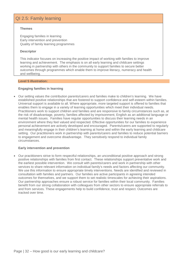# QI 2.5: Family learning

#### **Themes**

Engaging families in learning Early intervention and prevention Quality of family learning programmes

#### **Descriptor**

This indicator focuses on increasing the positive impact of working with families to improve learning and achievement. The emphasis is on all early learning and childcare settings working in partnership with others in the community to support families to secure better outcomes through programmes which enable them to improve literacy, numeracy and health and wellbeing.

#### **Level 5 illustration:**

#### **Engaging families in learning**

• Our setting values the contribution parents/carers and families make to children's learning. We have established positive relationships that are fostered to support confidence and self-esteem within families. Universal support is available to all. Where appropriate, more targeted support is offered to families that enables them to engage in a variety of learning opportunities which meet their individual needs. Practitioners work to support children and families and are responsive to family circumstances such as, at the risk of disadvantage, poverty, families affected by imprisonment, English as an additional language or mental health issues. Families have regular opportunities to discuss their learning needs in an environment where they feel valued and respected. Effective opportunities for our families to experience personal achievement are actively developed and encouraged. Parents/carers are supported to regularly and meaningfully engage in their children's learning at home and within the early learning and childcare setting. Our practitioners work in partnership with parents/carers and families to reduce potential barriers to engagement and overcome disadvantage. They sensitively respond to individual family circumstances.

#### **Early intervention and prevention**

• Our practitioners strive to form respectful relationships, an unconditional positive approach and strong positive relationships with families from first contact. These relationships support preventative work and the earliest possible intervention. We consult with parents/carers and work in partnership with other services to share relevant information on individual family's needs and factors affecting our community. We use this information to ensure appropriate timely interventions. Needs are identified and reviewed in consultation with families and partners. Our families are active participants in agreeing intended outcomes for themselves, and we support them to set realistic timescales for achieving their aspirations. Our partnership approaches ensure a robust service for families within their local community. Families benefit from our strong collaboration with colleagues from other sectors to ensure appropriate referrals to and from services. These engagements help to build confidence, trust and respect. Outcomes are tracked over time.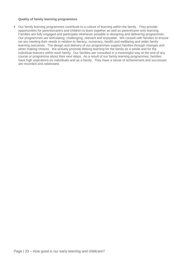#### **Quality of family learning programmes**

• Our family learning programmes contribute to a culture of learning within the family. They provide opportunities for parents/carers and children to learn together as well as parent/carer only learning. Families are fully engaged and participate whenever possible in designing and delivering programmes. Our programmes are stimulating, challenging, relevant and enjoyable. We consult with families to ensure we are meeting their needs in relation to literacy, numeracy, health and wellbeing and wider family learning outcomes. The design and delivery of our programmes support families through changes and when making choices. We actively promote lifelong learning for the family as a whole and for the individual learners within each family. Our families are consulted in a meaningful way at the end of any course or programme about their next steps. As a result of our family learning programmes, families have high aspirations as individuals and as a family. They have a sense of achievement and successes are recorded and celebrated.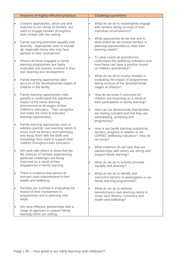|           | <b>Features of highly effective practice:</b>                                                                                                                                                                                              |           | <b>Challenge questions:</b>                                                                                                                     |
|-----------|--------------------------------------------------------------------------------------------------------------------------------------------------------------------------------------------------------------------------------------------|-----------|-------------------------------------------------------------------------------------------------------------------------------------------------|
| $\bullet$ | Creative approaches, which are well<br>matched to the needs of families, are<br>used to engage families throughout<br>their contact with the setting.                                                                                      | $\bullet$ | What do we do to meaningfully engage<br>with families taking account of their<br>individual circumstances?                                      |
| $\bullet$ | Family learning promotes equality and<br>diversity. Approaches seek to include<br>all, especially those who may face<br>barriers to their involvement.                                                                                     |           | What approaches do we use and to<br>what extent do we involve families in<br>planning opportunities to meet their<br>learning needs?            |
| $\bullet$ | Almost all those engaged in family<br>learning programmes are highly<br>motivated and actively involved in their<br>own learning and development.                                                                                          |           | To what extent do practitioners<br>understand the wellbeing indicators and<br>how these can have a positive impact<br>on children and families? |
| $\bullet$ | Family learning approaches take<br>account of the developmental stages of<br>children in the family.                                                                                                                                       |           | What do we do to involve families in<br>evaluating the impact of programmes<br>taking account of the developmental<br>stages of children?       |
| $\bullet$ | Family learning opportunities help<br>parents to understand the significant<br>impact of the home learning<br>environment at all stages of their                                                                                           |           | How do we know if outcomes for<br>children are improving as a result of<br>their participation in family learning?                              |
|           | children's education. They recognise<br>and make the most of everyday<br>learning opportunities.                                                                                                                                           |           | How can we demonstrate that families<br>are feeling included and that they are<br>participating, achieving and<br>progressing?                  |
| $\bullet$ | Family learning approaches seek to<br>address parents' own learning needs in<br>areas such as literacy and numeracy,<br>and equip them with the skills and<br>knowledge they need to support their<br>children throughout their education. |           | How is our family learning supporting<br>families' progress in relation to the<br>GIRFEC wellbeing indicators? How do<br>we know?               |
| $\bullet$ | We work with others to show that the<br>life chances of families experiencing<br>particular challenges are being                                                                                                                           | $\bullet$ | What evidence do we have that our<br>partnerships with others are strong and<br>support family learning?                                        |
|           | improved as a result of their<br>engagement in family learning.                                                                                                                                                                            | $\bullet$ | What do we do to actively promote<br>equality and diversity?                                                                                    |
| $\bullet$ | There is evidence that almost all<br>learners have improvement in their<br>health and wellbeing.                                                                                                                                           | $\bullet$ | What do we do to identify and<br>overcome barriers to participation in our<br>family learning programmes?                                       |
| $\bullet$ | Families are involved in evaluating the<br>impact of their involvement in<br>programmes and in planning next<br>steps.                                                                                                                     |           | What do we do to address<br>parents/carers own learning needs in<br>areas such literacy, numeracy and<br>health and wellbeing?                  |
| $\bullet$ | We have effective partnerships with a<br>range of agencies to support family<br>learning within our setting.                                                                                                                               |           |                                                                                                                                                 |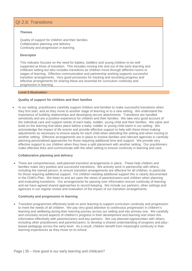### QI 2.6: Transitions

#### **Themes**

Quality of support for children and their families Collaborative planning and delivery Continuity and progression in learning

#### **Descriptor**

This indicator focuses on the need for babies, toddlers and young children to be well supported at times of transition. This includes moving into and out of the early learning and childcare setting but also includes transitions as children move through different rooms or stages of learning. Effective communication and partnership working supports successful transition arrangements. Very good processes for tracking and recording progress and effective arrangements for sharing these are essential for curriculum continuity and progression in learning.

#### **Level 5 illustration:**

#### **Quality of support for children and their families**

• In our setting, practitioners carefully support children and families to make successful transitions when they first start, and as they move to another stage of learning or to a new setting. We understand the importance of building relationships and developing secure attachments. Transitions are handled sensitively and are a positive experience for children and their families. We take very good account of the individual care and support needs of each baby, toddler, young child and their families. We value and build on the learning that takes place before a baby, toddler or young child starts in our setting. We acknowledge the impact of life events and provide effective support to help with these times making adjustments as necessary to ensure equity for each child when attending the setting and when moving to another setting. Effective arrangements are in place to involve families and relevant agencies in carefully planning personalised approaches for those requiring additional time and support. We provide very effective support to our children when they have a split placement with another setting. Our practitioners make effective links and communicate with the other setting to ensure continuity in learning and care.

#### **Collaborative planning and delivery**

• There are comprehensive, well-planned transition arrangements in place. These help children and families make very positive and successful transitions. We actively work in partnership with others, including the named person, to ensure transition arrangements are effective for all children, in particular for those requiring additional support. For children needing additional support this is clearly documented in the Child's Plan. We listen to and act upon the views of parents/carers and children when planning and evaluating transitions. Our arrangements for passing over information ensure continuity of learning and we have agreed shared approaches to record keeping. We include our partners, other settings and agencies in our regular review and evaluation of the impact of our transition arrangements.

#### **Continuity and progression in learning**

• Transition programmes effectively build on prior learning to support curriculum continuity and progression to meet the needs of all children. We pay very good attention to continuous progression in children's learning and wellbeing during their learning journey across our setting and into primary one. We carefully and concisely record aspects of children's progress in their development and learning and share this information effectively with parents/carers and key partners. We use planned opportunities with others, including other practitioners and parents/carers, to develop a shared understanding of progress and play– based pedagogy across the early level. As a result, children benefit from meaningful continuity in their learning experiences as they move on to school.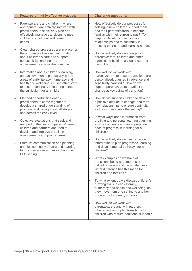|                        | <b>Features of highly effective practice:</b>                                                                                                                                                                                                                 |           | <b>Challenge questions:</b>                                                                                                                                                                                                                                                     |
|------------------------|---------------------------------------------------------------------------------------------------------------------------------------------------------------------------------------------------------------------------------------------------------------|-----------|---------------------------------------------------------------------------------------------------------------------------------------------------------------------------------------------------------------------------------------------------------------------------------|
| $\bullet$<br>$\bullet$ | Parents/carers and children, (where<br>appropriate), are actively involved with<br>practitioners to sensitively plan and<br>effectively manage transitions to meet<br>children's emotional and learning<br>needs.<br>Clear, shared processes are in place for | $\bullet$ | How effectively do our processes for<br>settling in new children support them<br>and their parents/carers to become<br>familiar with their surroundings? To<br>begin to develop close, positive<br>relationships and to continuity in<br>meeting their care and learning needs? |
|                        | the exchange of relevant information<br>about children's care and support<br>needs, skills, learning and<br>achievements across the curriculum.                                                                                                               | $\bullet$ | How effectively do we engage with<br>parents/carers, children and other<br>agencies to build up a clear picture of<br>the child?                                                                                                                                                |
| $\bullet$              | Information about children's learning,<br>and achievements, particularly in key<br>areas of early literacy, numeracy and<br>health and wellbeing, is used effectively<br>to ensure continuity in learning across<br>the curriculum for all children.          | $\bullet$ | How well do we work with<br>parents/carers to ensure transitions are<br>personalised, planned in advance and<br>sensitively handled? How do we<br>support parents/carers to adjust to<br>change at key points of transition?                                                    |
| $\bullet$              | Planned opportunities enable<br>practitioners to come together to<br>develop a shared understanding of<br>progress and pedagogy at all stages<br>and across the early level.                                                                                  | $\bullet$ | How do we support children to develop<br>a positive attitude to change, and form<br>new relationships to ensure continuity<br>as they move across the setting?                                                                                                                  |
| $\bullet$              | Objective evaluations that seek and<br>respond to the views of parents/carers,<br>children and partners are used to<br>develop and improve transition<br>arrangements and programmes.                                                                         | $\bullet$ | In what ways does information from<br>profiling and personal learning planning<br>ensure continuity and an appropriate<br>pace of progress in learning for all<br>children?                                                                                                     |
| $\bullet$              | Effective communication and planning<br>enables continuity of care and learning<br>for children accessing more than one<br>ELC setting.                                                                                                                       | $\bullet$ | How effectively do we use transition<br>information to plan progressive learning<br>and developmental pathways for all<br>children?                                                                                                                                             |
|                        |                                                                                                                                                                                                                                                               |           | What examples do we have of<br>transitions being adapted to suit<br>individual needs and circumstances?<br>What difference has this made for<br>children and families?                                                                                                          |
|                        |                                                                                                                                                                                                                                                               | $\bullet$ | To what extent do we discuss children's<br>growing skills in early literacy,<br>numeracy and health and wellbeing, as<br>they move from one setting to another<br>or on entry to primary school?                                                                                |
|                        |                                                                                                                                                                                                                                                               | $\bullet$ | How well do we work with<br>parents/carers and with partners in<br>other agencies to plan transitions for<br>children who require additional support?                                                                                                                           |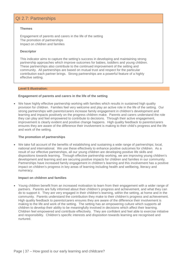# QI 2.7: Partnerships

#### **Themes**

Engagement of parents and carers in the life of the setting The promotion of partnerships Impact on children and families

#### **Descriptor**

This indicator aims to capture the setting's success in developing and maintaining strong partnership approaches which improve outcomes for babies, toddlers and young children. These partnerships also contribute to the continued improvement of the setting and community. All partnerships are based on mutual trust and respect for the particular contribution each partner brings. Strong partnerships are a powerful feature of a highly effective setting.

#### **Level 5 illustration:**

#### **Engagement of parents and carers in the life of the setting**

• We have highly effective partnership working with families which results in sustained high quality provision for children. Families feel very welcome and play an active role in the life of the setting. Our strong partnerships with parents/carers increase family engagement in children's development and learning and impacts positively on the progress children make. Parents and carers understand the role they can play and feel empowered to contribute to decisions. Through their active engagement, improvement is clearly evident and positive change happens. High quality feedback to parents/carers ensures they are aware of the difference their involvement is making to their child's progress and the life and work of the setting.

#### **The promotion of partnerships**

• We take full account of the benefits of establishing and sustaining a wide range of partnerships; local, national and international. We use these effectively to enhance positive outcomes for children. As a result of our effective partnerships, all our young children are developing positive life skills and dispositions towards learning. Through effective partnership working, we are improving young children's development and learning and are securing positive impacts for children and families in our community. Partnerships have increased family engagement in children's learning and this involvement has a positive impact on children's progress in key areas of learning including health and wellbeing, literacy and numeracy.

#### **Impact on children and families**

• Young children benefit from an increased motivation to learn from their engagement with a wider range of partners. Parents are fully informed about their children's progress and achievement, and what they can do to support it. They are very engaged in their children's learning, within the setting, at home and in the community. Parents understand the contribution they make to their children's progress and achievement. High quality feedback to parents/carers ensures they are aware of the difference their involvement is making to the life and work of the setting. The setting has an empowering culture which supports all children to develop their ability to be meaningfully involved in decisions which affect their learning. Children feel empowered and contribute effectively. They are confident and feel able to exercise initiative and responsibility. Children's specific interests and disposition towards learning are recognised and nurtured.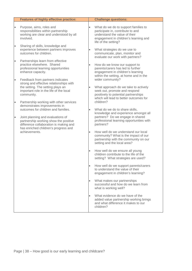|           | <b>Features of highly effective practice:</b>                                                                                                                             |           | <b>Challenge questions:</b>                                                                                                                                                 |
|-----------|---------------------------------------------------------------------------------------------------------------------------------------------------------------------------|-----------|-----------------------------------------------------------------------------------------------------------------------------------------------------------------------------|
| $\bullet$ | Purpose, aims, roles and<br>responsibilities within partnership<br>working are clear and understood by all<br>involved.                                                   | $\bullet$ | What do we do to support families to<br>participate in, contribute to and<br>understand the value of their<br>engagement in children's learning and<br>life of the setting? |
| $\bullet$ | Sharing of skills, knowledge and<br>experience between partners improves<br>outcomes for children.                                                                        | $\bullet$ | What strategies do we use to<br>communicate, plan, monitor and<br>evaluate our work with partners?                                                                          |
| $\bullet$ | Partnerships learn from effective<br>practice elsewhere. Shared<br>professional learning opportunities<br>enhance capacity.                                               | $\bullet$ | How do we know our support to<br>parents/carers has led to further<br>engagement in children's learning<br>within the setting, at home and in the                           |
| $\bullet$ | Feedback from partners indicates<br>strong and effective relationships with<br>the setting. The setting plays an<br>important role in the life of the local<br>community. | $\bullet$ | wider community?<br>What approach do we take to actively<br>seek out, promote and respond<br>positively to potential partnerships<br>which will lead to better outcomes for |
| $\bullet$ | Partnership working with other services<br>demonstrates improvements in<br>outcomes for children and families.                                                            | $\bullet$ | children?<br>What do we do to share skills,                                                                                                                                 |
| $\bullet$ | Joint planning and evaluations of<br>partnership working show the positive<br>difference collaboration is making and<br>has enriched children's progress and              |           | knowledge and experience amongst all<br>partners? Do we engage in shared<br>professional learning opportunities with<br>partners?                                           |
|           | achievements.                                                                                                                                                             | $\bullet$ | How well do we understand our local<br>community? What is the impact of our<br>partnership with the community on our<br>setting and the local area?                         |
|           |                                                                                                                                                                           | $\bullet$ | How well do we ensure all young<br>children contribute to the life of the<br>setting? What strategies are used?                                                             |
|           |                                                                                                                                                                           | $\bullet$ | How well do we support parents/carers<br>to understand the value of their<br>engagement in children's learning?                                                             |
|           |                                                                                                                                                                           | $\bullet$ | What makes our partnerships<br>successful and how do we learn from<br>what is working well?                                                                                 |
|           |                                                                                                                                                                           | $\bullet$ | What evidence do we have of the<br>added value partnership working brings<br>and what difference it makes to our<br>children?                                               |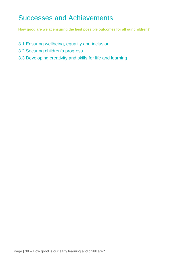# <span id="page-39-0"></span>Successes and Achievements

**How good are we at ensuring the best possible outcomes for all our children?** 

- 3.1 Ensuring wellbeing, equality and inclusion
- 3.2 Securing children's progress
- 3.3 Developing creativity and skills for life and learning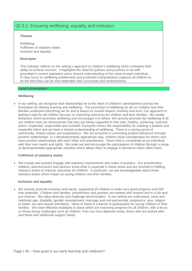# QI 3.1: Ensuring wellbeing, equality and inclusion

#### **Themes**

Wellbeing Fulfilment of statutory duties Inclusion and equality

#### **Descriptor**

This indicator reflects on the setting's approach to children's wellbeing which underpins their ability to achieve success. It highlights the need for policies and practices to be well grounded in current legislation and a shared understanding of the value of each individual. A clear focus on wellbeing entitlements and protected characteristics supports all children to be the best they can be and celebrates their successes and achievements

#### **Level 5 illustration:**

#### **Wellbeing**

• In our setting, we recognise that relationships lie at the heart of children's development and lay the foundation for lifelong learning and wellbeing. The promotion of wellbeing for all our children and their families underpins everything we do and is based on mutual respect, honesty and trust. Our approach to getting it right for all children focuses on improving outcomes for children and their families. We model behaviour which promotes wellbeing and encourages it in others. We actively promote the wellbeing of all our children and can demonstrate that they are being supported to feel safe, healthy, achieving, nurtured, active, respected, responsible and included. Everyone shares the responsibility for creating a positive and respectful ethos and we have a shared understanding of wellbeing. There is a strong sense of community, shared values and expectations. We are proactive in promoting positive behaviour through positive relationships. In a developmentally appropriate way, children show consideration for others and have positive relationships with each other and practitioners. Each child is considered as an individual with their own needs and rights. We seek out and encourage the participation of children through a range of developmentally appropriate activities which allows them to engage in decisions which affect them.

#### **Fulfilment of statutory duties**

• We comply and actively engage with statutory requirements and codes of practice. Our practitioners, children, parents/carers and partners know what is expected in these areas and are involved in fulfilling statutory duties to improve outcomes for children. In particular, we are knowledgeable about those statutory duties which impact on young children and their families.

#### **Inclusion and equality**

• We actively promote inclusion and equity, supporting all children to make very good progress and fulfil their potential. Children and families, practitioners and partners are treated with respect and in a fair and just manner. We value diversity and challenge discrimination. In our setting we understand, value and celebrate age, disability, gender reassignment, marriage and civil partnership, pregnancy, race, religion or belief, sex and sexual orientation. None of these is a barrier to participation for young children or their families. We have effective strategies in place which are improving progress for all children, with a focus on those facing challenges such as children from our most deprived areas, those who are looked after and those with additional support needs.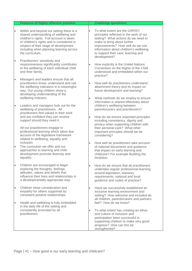|           | <b>Features of highly effective practice:</b>                                                                                                                                                                                                                                     |                        | <b>Challenge questions:</b>                                                                                                                                                                                                                                                         |
|-----------|-----------------------------------------------------------------------------------------------------------------------------------------------------------------------------------------------------------------------------------------------------------------------------------|------------------------|-------------------------------------------------------------------------------------------------------------------------------------------------------------------------------------------------------------------------------------------------------------------------------------|
| $\bullet$ | Within and beyond our setting there is a<br>shared understanding of wellbeing and<br>children's rights. Full account is taken<br>of children's rights and is considered in<br>respect of their stage of development<br>including when planning learning across<br>the curriculum. | $\bullet$              | To what extent are the GIRFEC<br>principles reflected in the work of our<br>setting? What actions do we need to<br>make to bring about further<br>improvements? How well do we use<br>information about children's wellbeing<br>to support their care, learning and<br>development? |
| $\bullet$ | Practitioners' sensitivity and<br>responsiveness significantly contributes<br>to the wellbeing of each individual child<br>and their family.                                                                                                                                      |                        | How explicitly is the United Nations<br>Convention on the Rights of the Child<br>understood and embedded within our<br>practice?                                                                                                                                                    |
| $\bullet$ | Managers and leaders ensure that all<br>practitioners know, understand and use<br>the wellbeing indicators in a meaningful<br>way. Our young children show a<br>developing understanding of the<br>wellbeing indictors.                                                           | $\bullet$<br>$\bullet$ | How well do practitioners understand<br>attachment theory and its impact on<br>future development and learning?<br>What methods do we employ to ensure                                                                                                                              |
| $\bullet$ | Leaders and managers look out for the<br>wellbeing of practitioners. All<br>practitioners feel valued in their work<br>and are confident they can receive<br>support should they need it.                                                                                         |                        | information is shared effectively about<br>children's wellbeing between<br>parents/carers and practitioners?<br>How do we ensure important principles                                                                                                                               |
|           | All our practitioners engage in<br>professional learning which takes due<br>account of the legislative framework<br>related to wellbeing, equality and                                                                                                                            |                        | including consistency, dignity and<br>privacy when supporting children with<br>their personal care? What other<br>important principles should we be<br>considering?                                                                                                                 |
| $\bullet$ | inclusion.<br>The curriculum we offer and our<br>approaches to learning and child<br>development promote diversity and<br>equality. .                                                                                                                                             | $\bullet$              | How well do practitioners take account<br>of national documents and guidance<br>that impact on early learning and<br>childcare? For example Building the<br>Ambition.                                                                                                               |
|           | Children are encouraged to begin<br>exploring the thoughts, feelings,<br>attitudes, values and beliefs that<br>influence their lives and relationships in<br>a developmentally appropriate way.                                                                                   |                        | How do we ensure that all practitioners<br>undertake regular professional learning<br>around legislation, statutory<br>requirements, national and local<br>guidance and codes of practice?                                                                                          |
| $\bullet$ | Children show consideration and<br>empathy for others supported by<br>consistent positive relationships.                                                                                                                                                                          |                        | Have we successfully established an<br>inclusive learning environment and<br>setting? How welcome and included do<br>all children, parents/carers and partners                                                                                                                      |
| $\bullet$ | Health and wellbeing is fully embedded<br>in the daily life of the setting and<br>consistently promoted by all<br>practitioners.                                                                                                                                                  | $\bullet$              | feel? How do we know?<br>To what extent has creating an ethos<br>and culture of inclusion and<br>participation been successful in<br>supporting children to make very good<br>progress? How can this be<br>strengthened?                                                            |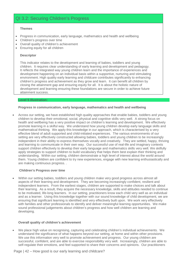# QI 3.2: Securing Children's Progress

#### **Themes**

- Progress in communication, early language, mathematics and health and wellbeing
- Children's progress over time
- Overall quality of children's achievement
- Ensuring equity for all children

#### **Descriptor**

This indicator relates to the development and learning of babies, toddlers and young children. It requires clear understanding of early learning and development and pedagogy. It reflects the integrated way young children learn and the importance of experiences and development happening on an individual basis within a supportive, nurturing and stimulating environment. High quality early learning and childcare contributes significantly to enhancing children's progress and achievement as they grow and learn. It can benefit all children by closing the attainment gap and ensuring equity for all. It is about the holistic nature of development and learning ensuring these foundations are secure in order to achieve future attainment success.

#### **Level 5 illustration:**

#### **Progress in communication, early language, mathematics and health and wellbeing**

• Across our setting, we have established high quality approaches that enable babies, toddlers and young children to develop their emotional, social, physical and cognitive skills very well. A strong focus on health and wellbeing has a very positive impact on children's learning and development. We effectively promote learning in a skilful way. We understand how young children develop early language skills and mathematical thinking. We apply this knowledge in our approach, which is characterised by a very effective blend of adult supported and child-initiated experiences. The various environments of our setting are very effectively constructed allowing babies, toddlers and young children to be increasingly independent in their ability to express themselves vocally and creatively. They are settled, happy, thriving and learning to communicate in their own way. Our successful use of real-life and imaginary contexts support children effectively to develop their early language and mathematics skills very well. We skilfully apply strategies to support children to build vocabulary that helps them best explain their thinking and understanding. Within our setting, children demonstrate a high level of interest about the world around them. Young children are confident to try new experiences, engage with new learning enthusiastically and are making continuous progress. .

#### **Children's Progress over time**

• Within our setting babies, toddlers and young children make very good progress across almost all aspects of their learning and development. They are becoming increasingly confident, resilient and independent learners. From the earliest stages, children are supported to make choices and talk about their learning. As a result, they acquire the necessary knowledge, skills and attitudes needed to continue to be motivated, life-long learners. In our setting, practitioners know each child very well as an individual and as a learner. Using this knowledge together with our sound knowledge of child development, we are ensuring that significant learning is identified and very effectively built upon. We work very effectively with families and other professionals to identify and deliver meaningful learning opportunities. We make sound professional judgements about children's progress and how well children are learning and developing.

#### **Overall quality of children's achievement**

• We place high value on recognising, capturing and celebrating children's individual achievements. We understand the significance of what happens beyond our setting, at home and within other provisions. We use this information very well to promote achievement and progress. Our young children are successful, confident, and are able to exercise responsibility very well. Increasingly, children are able to self-regulate their emotions, and feel supported to share their concerns and opinions. Our practitioners

Page | 42 – How good is our early learning and childcare?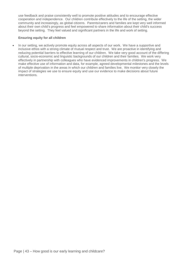use feedback and praise consistently well to promote positive attitudes and to encourage effective cooperation and independence. Our children contribute effectively to the life of the setting, the wider community and increasingly, as global citizens. Parents/carers and families are kept very well informed about their own child's progress and feel empowered to share information about their child's success beyond the setting. They feel valued and significant partners in the life and work of setting.

#### **Ensuring equity for all children**

• In our setting, we actively promote equity across all aspects of our work. We have a supportive and inclusive ethos with a strong climate of mutual respect and trust. We are proactive in identifying and reducing potential barriers to effective learning of our children. We take very good account of the differing cultural, socio-economic and linguistic backgrounds of our children and their families. We work very effectively in partnership with colleagues who have evidenced improvements in children's progress. We make effective use of information and data, for example, agreed developmental milestones and the levels of multiple deprivation in the areas in which our children and families live. We monitor very closely the impact of strategies we use to ensure equity and use our evidence to make decisions about future interventions.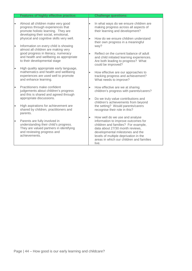|           | <b>Features of highly effective practice:</b>                                                                                                                                                     |                        | <b>Challenge questions:</b>                                                                                                                                                                                                                                                       |
|-----------|---------------------------------------------------------------------------------------------------------------------------------------------------------------------------------------------------|------------------------|-----------------------------------------------------------------------------------------------------------------------------------------------------------------------------------------------------------------------------------------------------------------------------------|
| $\bullet$ | Almost all children make very good<br>progress through experiences that<br>promote holistic learning. They are<br>developing their social, emotional,<br>physical and cognitive skills very well. | $\bullet$<br>$\bullet$ | In what ways do we ensure children are<br>making progress across all aspects of<br>their learning and development?<br>How do we ensure children understand                                                                                                                        |
| $\bullet$ | Information on every child is showing<br>almost all children are making very<br>good progress in literacy, numeracy<br>and health and wellbeing as appropriate<br>to their developmental stage    | $\bullet$              | their own progress in a meaningful<br>way?<br>Reflect on the current balance of adult<br>and child initiated learning experiences.<br>Are both leading to progress? What<br>could be improved?                                                                                    |
|           | High quality appropriate early language,<br>mathematics and health and wellbeing<br>experiences are used well to promote<br>and enhance learning.                                                 | $\bullet$              | How effective are our approaches to<br>tracking progress and achievement?<br>What needs to improve?                                                                                                                                                                               |
| $\bullet$ | Practitioners make confident<br>judgements about children's progress<br>and this is shared and agreed through<br>appropriate discussions.                                                         | $\bullet$<br>$\bullet$ | How effective are we at sharing<br>children's progress with parents/carers?<br>Do we truly value contributions and<br>children's achievements from beyond                                                                                                                         |
| $\bullet$ | High aspirations for achievement are<br>shared by children, practitioners and<br>parents.                                                                                                         |                        | the setting? Would parents/carers<br>recognise their role in this?                                                                                                                                                                                                                |
| $\bullet$ | Parents are fully involved in<br>understanding their child's progress.<br>They are valued partners in identifying<br>and reviewing progress and<br>achievements.                                  |                        | How well do we use and analyse<br>information to improve outcomes for<br>children and families? For example,<br>data about 27/30 month reviews.<br>developmental milestones and the<br>levels of multiple deprivation in the<br>areas in which our children and families<br>live. |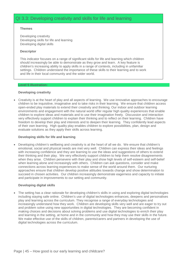# QI 3.3: Developing creativity and skills for life and learning

#### **Themes**

Developing creativity Developing skills for life and learning Developing digital skills

#### **Descriptor**

This indicator focuses on a range of significant skills for life and learning which children should increasingly be able to demonstrate as they grow and learn. A key feature is children's increasing ability to apply skills in a range of contexts, including in unfamiliar settings. Children understand the importance of these skills to their learning and to work and life in their local community and the wider world.

#### **Level 5 illustration:**

#### **Developing creativity**

• Creativity is at the heart of play and all aspects of learning. We use innovative approaches to encourage children to be inquisitive, imaginative and to take risks in their learning. We ensure that children access open-ended play materials to extend their creativity and thinking. Our indoor and outdoor learning environments and engagement with the natural world offer regular high quality experiences that enable children to explore ideas and materials and to use their imagination freely. Discussion and interaction very effectively support children to explain their thinking and to reflect on their learning. Children have freedom to develop their play and interests and to deepen their learning. They confidently lead aspects of their own learning. High quality play enables children to explore possibilities, plan, design and evaluate solutions as they apply their skills across learning.

#### **Developing skills for life and learning**

• Developing children's wellbeing and creativity is at the heart of all we do. We ensure that children's emotional, social and physical needs are met very well. Children can express their ideas and feelings with increasing confidence and they are learning to use the ideas and suggestions of others to extend their thinking and their play. We very effectively support children to help them resolve disagreements when they arise. Children persevere with their play and show high levels of self-esteem and self-belief when learning alone and increasingly with others. Children can ask questions, consider and make connections across learning experiences to make sense of the world around them. Our nurturing approaches ensure that children develop positive attitudes towards change and show determination to succeed in chosen activities. Our children increasingly demonstrate eagerness and capacity to initiate and participate in improvements to our setting and community.

#### **Developing digital skills**

• The setting has a clear rationale for developing children's skills in using and exploring digital technologies including staying safe online. Children's use of digital technologies enhances, deepens and personalises play and learning across the curriculum. They recognise a range of everyday technologies and increasingly understand how they work. Children are developing skills very well and are eager to try out and problem solve using new opportunities in digital technologies. They are becoming confident in making choices and decisions about solving problems and use digital technologies to enrich their play and learning in the setting, at home and in the community and how they may use their skills in the future. We make effective use of the skills of children, parents/carers and partners in developing the use of digital technologies across the curriculum.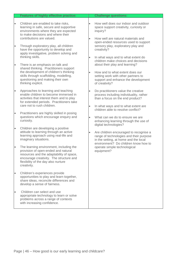|           | <b>Features of highly effective practice:</b>                                                                                                                                                                               |                        | <b>Challenge questions:</b>                                                                                                                                                                              |
|-----------|-----------------------------------------------------------------------------------------------------------------------------------------------------------------------------------------------------------------------------|------------------------|----------------------------------------------------------------------------------------------------------------------------------------------------------------------------------------------------------|
|           | Children are enabled to take risks,<br>learning in safe, secure and supportive<br>environments where they are expected<br>to make decisions and where their<br>contributions are valued.                                    | $\bullet$<br>$\bullet$ | How well does our indoor and outdoor<br>space support creativity, curiosity or<br>inquiry?<br>How well are natural materials and                                                                         |
|           | Through exploratory play, all children<br>have the opportunity to develop and<br>apply investigative, problem solving and<br>thinking skills.                                                                               |                        | open-ended resources used to support<br>sensory play, exploratory play and<br>creativity?<br>In what ways and to what extent do                                                                          |
|           | There is an emphasis on talk and<br>shared thinking. Practitioners support<br>the development of children's thinking<br>skills through scaffolding, modelling,<br>questioning and making their own<br>thinking explicit.    | $\bullet$              | children make choices and decisions<br>about their play and learning?<br>How and to what extent does our<br>setting work with other partners to<br>support and enhance the development<br>of creativity? |
| $\bullet$ | Approaches to learning and teaching<br>enable children to become immersed in<br>activities that interest them and to play<br>for extended periods. Practitioners take<br>care not to rush children.                         | $\bullet$<br>$\bullet$ | Do practitioners value the creative<br>process including individuality, rather<br>than a focus on the end product?<br>In what ways and to what extent are                                                |
|           | Practitioners are highly skilled in posing<br>questions which encourage enquiry and<br>curiosity.                                                                                                                           | $\bullet$              | children able to resolve conflict?<br>What can we do to ensure we are<br>enhancing learning through the use of<br>digital technologies?                                                                  |
|           | Children are developing a positive<br>attitude to learning through an active<br>learning approach using real-life and<br>imaginary situations.                                                                              | $\bullet$              | Are children encouraged to recognise a<br>range of technologies and their purpose<br>in the setting, at home and the local<br>environment? Do children know how to                                       |
| $\bullet$ | The learning environment, including the<br>provision of open-ended and natural<br>resources and the adaptability of space,<br>encourage creativity. The structure and<br>flexibility of the day also nurture<br>creativity. |                        | operate simple technological<br>equipment?                                                                                                                                                               |
|           | Children's experiences provide<br>opportunities to play and learn together,<br>share ideas, reconcile differences and<br>develop a sense of fairness.                                                                       |                        |                                                                                                                                                                                                          |
|           | Children can select and use<br>appropriate technology to learn or solve<br>problems across a range of contexts<br>with increasing confidence.                                                                               |                        |                                                                                                                                                                                                          |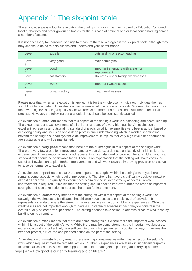# <span id="page-47-0"></span>Appendix 1: The six-point scale

The six-point scale is a tool for evaluating the quality indicators. It is mainly used by Education Scotland, local authorities and other governing bodies for the purpose of national and/or local benchmarking across a number of settings.

It is not necessary for individual settings to measure themselves against the six-point scale although they may choose to do so to help assess and understand your performance.

| Level<br>6 | excellent      | outstanding or sector leading                            |
|------------|----------------|----------------------------------------------------------|
| Level<br>5 | very good      | major strengths                                          |
| Level<br>4 | good           | important strengths with areas for<br><i>improvement</i> |
| Level<br>3 | satisfactory   | strengths just outweigh weaknesses                       |
| Level<br>2 | weak           | important weaknesses                                     |
| Level      | unsatisfactory | major weaknesses                                         |

Please note that, when an evaluation is applied, it is for the whole quality indicator. Individual themes should not be evaluated. An evaluation can be arrived at in a range of contexts. We need to bear in mind that awarding levels using a quality scale will always be more of a professional skill than a technical process. However, the following general guidelines should be consistently applied.

An evaluation of **excellent** means that this aspect of the setting's work is outstanding and sector leading. The experiences and achievements of all children and are of a very high quality. An evaluation of excellent represents an outstanding standard of provision which exemplifies very best practice, based on achieving equity and inclusion and a deep professional understanding which is worth disseminating beyond the setting to support system-wide improvement. It implies that very high levels of performance are sustainable and will be maintained.

An evaluation of **very good** means that there are major strengths in this aspect of the setting's work. There are very few areas for improvement and any that do exist do not significantly diminish children's experiences. An evaluation of very good represents a high standard of provision for all children and is a standard that should be achievable by all. There is an expectation that the setting will make continued use of self-evaluation to plan further improvements and will work towards improving provision and strive to raise performance to excellent.

An evaluation of **good** means that there are important strengths within the setting's work yet there remains some aspects which require improvement. The strengths have a significantly positive impact on almost all children. The quality of experiences is diminished in some way by aspects in which improvement is required. It implies that the setting should seek to improve further the areas of important strength, and also take action to address the areas for improvement.

An evaluation of **satisfactory** means that the strengths within this aspect of the setting's work just outweigh the weaknesses. It indicates that children have access to a basic level of provision. It represents a standard where the strengths have a positive impact on children's experiences. While the weaknesses are not important enough to have a substantially adverse impact, they do constrain the overall quality of learners' experiences. The setting needs to take action to address areas of weakness by building on its strengths.

An evaluation of **weak** means that there are some strengths but where there are important weaknesses within this aspect of the setting's work. While there may be some strengths, the important weaknesses, either individually or collectively, are sufficient to diminish experiences in substantial ways. It implies the need for prompt, structured and planned action on the part of the setting.

An evaluation of **unsatisfactory** means there are major weaknesses within this aspect of the setting's work which require immediate remedial action. Children's experiences are at risk in significant respects. In almost all cases, this will require support from senior managers in planning and carrying out the Page | 47 – How good is our early learning and childcare?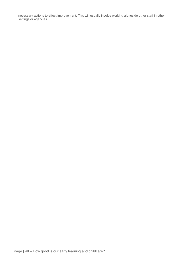necessary actions to effect improvement. This will usually involve working alongside other staff in other settings or agencies.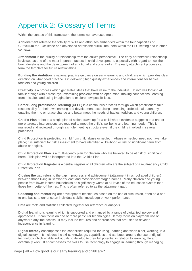# <span id="page-49-0"></span>Appendix 2: Glossary of Terms

Within the context of this framework, the terms we have used mean:

**Achievement** refers to the totality of skills and attributes embedded within the four capacities of Curriculum for Excellence and developed across the curriculum, both within the ELC setting and in other contexts.

**Attachment** is the quality of relationship from the child's perspective. The early parent/child relationship is viewed as one of the most important factors in child development, especially with regard to how the brain develops and the development of emotional and social skills. The early attachment process can form the template for future relationships.

**Building the Ambition** is national practice guidance on early learning and childcare which provides clear direction on what good practice is in delivering high quality experiences and interactions for babies, toddlers and young children.

**Creativity** is a process which generates ideas that have value to the individual. It involves looking at familiar things with a fresh eye, examining problems with an open mind, making connections, learning from mistakes and using imagination to explore new possibilities.

**Career- long professional learning (CLPL)** is a continuous process through which practitioners take responsibility for their own learning and development, exercising increasing professional autonomy enabling them to embrace change and better meet the needs of babies, toddlers and young children.

**Child's Plan** refers to a single plan of action drawn up for a child where evidence suggests that one or more targeted interventions are required to meet the child's wellbeing and learning needs. This is managed and reviewed through a single meeting structure even if the child is involved in several processes.

**Child Protection** is protecting a child from child abuse or neglect. Abuse or neglect need not have taken place; it is sufficient for risk assessment to have identified a likelihood or risk of significant harm from abuse or neglect.

**Child Protection Plan** is a multi-agency plan for children who are believed to be at risk of significant harm. This plan will be incorporated into the Child's Plan.

**Child Protection Register** is a central register of all children who are the subject of a multi-agency Child Protection Plan.

**Closing the gap** refers to the gap in progress and achievement (attainment in school aged children) between those living in Scotland's least and most disadvantaged homes. Many children and young people from lower-income households do significantly worse at all levels of the education system than those from better-off homes. This is often referred to as the 'attainment gap'.

**Coaching and mentoring** are development techniques based on the use of discussion, often on a oneto-one basis, to enhance an individual's skills, knowledge or work performance.

**Data** are facts and statistics collected together for reference or analysis.

**Digital learning** is learning which is supported and enhanced by a range of digital technology and approaches. It can focus on one or more particular technologies. It may focus on playroom use or anywhere-anytime access. It may include features and approaches that are used to develop independence in learning.

**Digital literacy** encompasses the capabilities required for living, learning and when older, working, in a digital society. It includes the skills, knowledge, capabilities and attributes around the use of digital technology which enable individuals to develop to their full potential in relation to learning, life and eventually work. It encompasses the skills to use technology to engage in learning through managing

Page | 49 – How good is our early learning and childcare?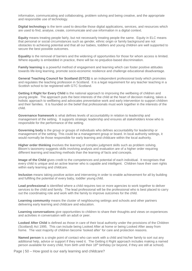information, communicating and collaborating, problem solving and being creative, and the appropriate and responsible use of technology.

**Digital technology** is the term used to describe those digital applications, services, and resources which are used to find, analyse, create, communicate and use information in a digital context.

**Equity** means treating people fairly, but not necessarily treating people the same. Equity in ELC means that personal or social circumstances such as gender, ethnic origin or family background are not obstacles to achieving potential and that all our babies, toddlers and young children are well supported to secure the best possible outcomes.

**Equality** is the removal of barriers and the widening of opportunities for those for whom access is limited. Where equality is embedded in practice, there will be no prejudice-based discrimination.

**Family learning** is a powerful method of engagement and learning which can foster positive attitudes towards life-long learning, promote socio-economic resilience and challenge educational disadvantage.

**General Teaching Council for Scotland (GTCS)** is an independent professional body which promotes and regulates the teaching profession in Scotland. It is a legal requirement for any teacher teaching in a Scottish school to be registered with GTC Scotland.

**Getting it Right for Every Child** is the national approach to improving the wellbeing of children and young people. The approach puts the best interests of the child at the heart of decision making, takes a holistic approach to wellbeing and advocates preventative work and early intervention to support children and their families. It is founded on the belief that professionals must work together in the interests of the child.

**Governance framework** is what defines levels of accountability in relation to leadership and management of the setting. It supports strategic leadership and ensures all stakeholders know who is responsible for the performance of the setting.

**Governing body** is the group or groups of individuals who defines accountability for leadership or management of the setting. This could be a management group or board. In local authority settings, it would normally be those responsible for early learning and childcare within the local authority.

**Higher order thinking** involves the learning of complex judgment skills such as problem solving. Bloom's taxonomy suggests skills involving analysis and evaluation are of a higher order requiring different learning and teaching methods than the learning of facts and concepts.

**Image of the Child** gives credit to the competences and potential of each individual. It recognises that every child is unique and an active learner who is capable and intelligent. Children have their own rights within early learning and childcare.

**Inclusion** means taking positive action and intervening in order to enable achievement for all by building and fulfilling the potential of every baby, toddler young child.

**Lead professional** is identified where a child requires two or more agencies to work together to deliver services to the child and family. The lead professional will be the professional who is best placed to carry out the coordinating role and work with the family to improve outcomes for the child.

**Learning community** means the cluster of neighbouring settings and schools and other partners delivering early learning and childcare and education.

**Learning conversations** give opportunities to children to share their thoughts and views on experiences and activities in conversation with an adult or peer.

**Looked After Child** is defined as those in care of their local authority under the provisions of the Children (Scotland) Act 1995. This can include being Looked After at home or being Looked After away from home. The vast majority of children become 'looked after' for care and protection reasons.

**Named person** is a single point of contact who can work with a child and his/her family to sort out any additional help, advice or support if they need it. The Getting it Right approach includes making a named person available for every child, from birth until their 18th birthday (or beyond, if they are still at school).

Page | 50 – How good is our early learning and childcare?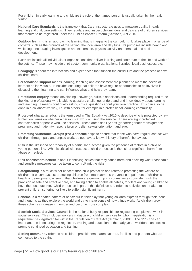For children in early learning and childcare the role of the named person is usually taken by the health visitor.

**National Care Standards** is the framework that Care Inspectorate uses to measure quality in early learning and childcare settings. They regulate and inspect childminders and daycare of children services that require to be registered under the Public Services Reform (Scotland) Act 2010.

**Outdoor learning** is an approach to learning that is integral to the curriculum. It takes place in a range of contexts such as the grounds of the setting, the local area and day trips. Its purposes include health and wellbeing, encouraging investigation and exploration, physical activity and personal and social development.

**Partners** include all individuals or organisations that deliver learning and contribute to the life and work of the setting. These may include third sector, community organisations, libraries, local businesses, etc.

**Pedagogy** is about the interactions and experiences that support the curriculum and the process of how children learn.

**Personalised support** means learning, teaching and assessment are planned to meet the needs of learners as individuals. It includes ensuring that children have regular opportunities to be involved in discussing their learning and can influence what and how they learn.

**Practitioner enquiry** means developing knowledge, skills, dispositions and understanding required to be the kind of professional who is able to question, challenge, understand and know deeply about learning and teaching. It means continually asking critical questions about your own practice. This can also be done in a collaborative way, i.e. with others, for example in a professional learning community.

**Protected characteristics** is the term used in The Equality Act 2010 to describe who is protected by law. Protection varies on whether a person is at work or using the service. There are eight protected characteristics of people who use services. These are: disability; sex (gender); gender reassignment; pregnancy and maternity; race; religion or belief; sexual orientation; and age.

**Protecting Vulnerable Groups (PVG) scheme** helps to ensure that those who have regular contact with children, through paid and unpaid work, do not have a known history of harmful behaviour.

**Risk** is the likelihood or probability of a particular outcome given the presence of factors in a child or young person's life. What is critical with respect to child protection is the risk of significant harm from abuse or neglect.

**Risk assessment/benefit** is about identifying issues that may cause harm and deciding what reasonable and sensible measures can be taken to control/limit the risks.

**Safeguarding** is a much wider concept than child protection and refers to promoting the welfare of children. It encompasses; protecting children from maltreatment; preventing impairment of children's health or development; ensuring that children are growing up in circumstances consistent with the provision of safe and effective care, and taking action to enable all babies, toddlers and young children to have the best outcome. Child protection is part of this definition and refers to activities undertaken to prevent children suffering, or likely to suffer, significant harm.

**Schema is** a repeated pattern of behaviour in their play that young children express through their ideas and thoughts as they explore the world and try to make sense of how things work. As children grow these schemas increase in number and become more complex. .

**Scottish Social Services Council** is the national body responsible for registering people who work in social services. This includes workers in daycare of children services for whom registration is a requirement as legislated for within the Regulation of Care Act (Scotland) (2001). The SSSC has an important role in ensuring the regulation, training and education of the early years workforce and seeks to promote continued education and training.

**Setting community** refers to all children, practitioners, parents/carers, families and partners who are connected to the setting.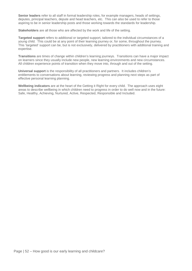**Senior leaders** refer to all staff in formal leadership roles, for example managers, heads of settings, deputes, principal teachers, depute and head teachers, etc. This can also be used to refer to those aspiring to be in senior leadership posts and those working towards the standards for leadership.

**Stakeholders** are all those who are affected by the work and life of the setting.

**Targeted support** refers to additional or targeted support, tailored to the individual circumstances of a young child. This could be at any point of their learning journey or, for some, throughout the journey. This 'targeted' support can be, but is not exclusively, delivered by practitioners with additional training and expertise.

**Transitions** are times of change within children's learning journeys. Transitions can have a major impact on learners since they usually include new people, new learning environments and new circumstances. All children experience points of transition when they move into, through and out of the setting.

**Universal support** is the responsibility of all practitioners and partners. It includes children's entitlements to conversations about learning, reviewing progress and planning next steps as part of effective personal learning planning.

**Wellbeing indicators** are at the heart of the Getting it Right for every child. The approach uses eight areas to describe wellbeing in which children need to progress in order to do well now and in the future: Safe, Healthy, Achieving, Nurtured, Active, Respected, Responsible and Included.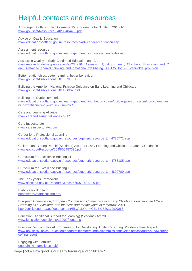# <span id="page-53-0"></span>Helpful contacts and resources

A Stronger Scotland: The Government's Programme for Scotland 2015-16 [www.gov.scot/Resource/0048/00484439.pdf](http://www.gov.scot/Resource/0048/00484439.pdf)

Advice on Gaelic Education [www.educationscotland.gov.uk/resources/a/advicegaeliceducation.asp](http://www.educationscotland.gov.uk/resources/a/advicegaeliceducation.asp)

Assessment resource

[www.educationscotland.gov.uk/learningandteaching/assessment/index.asp](http://www.educationscotland.gov.uk/learningandteaching/assessment/index.asp)

Assessing Quality in Early Childhood Education and Care [www.researchgate.net/publication/272349364\\_Assessing\\_Quality\\_in\\_early\\_Childhood\\_Education\\_and\\_C](http://www.researchgate.net/publication/272349364_Assessing_Quality_in_early_Childhood_Education_and_Care_Sustained_shared_thinking_and_emotional_well-being_SSTEW_for_2-5_year-olds_provision) are Sustained shared thinking and emotional well-being SSTEW for 2-5 year-olds provision

Better relationships, better learning, better behaviour [www.gov.scot/Publications/2013/03/7388](http://www.gov.scot/Publications/2013/03/7388)

Building the Ambition: National Practice Guidance on Early Learning and Childcare [www.gov.scot/Publications/2014/08/6262/0](http://www.gov.scot/Publications/2014/08/6262/0)

Building the Curriculum series [www.educationscotland.gov.uk/learningandteaching/thecurriculum/buildingyourcurriculum/curriculumplan](http://www.educationscotland.gov.uk/learningandteaching/thecurriculum/buildingyourcurriculum/curriculumplanning/whatisbuildingyourcurriculum/btc/) [ning/whatisbuildingyourcurriculum/btc/](http://www.educationscotland.gov.uk/learningandteaching/thecurriculum/buildingyourcurriculum/curriculumplanning/whatisbuildingyourcurriculum/btc/)

Care and Learning Alliance [www.careandlearningalliance.co.uk/](http://www.careandlearningalliance.co.uk/)

Care Inspectorate [www.careinspectorate.com](http://www.careinspectorate.com/)

Career-long Professional Learning [www.educationscotland.gov.uk/resources/c/genericresource\\_tcm4735771.asp](http://www.educationscotland.gov.uk/resources/c/genericresource_tcm4735771.asp)

Children and Young People (Scotland) Act 2014 Early Learning and Childcare Statutory Guidance [www.gov.scot/Resource/0045/00457025.pdf](http://www.gov.scot/Resource/0045/00457025.pdf)

Curriculum for Excellence Briefing 11 [www.educationscotland.gov.uk/resources/c/genericresource\\_tcm4783185.asp](http://www.educationscotland.gov.uk/resources/c/genericresource_tcm4783185.asp) 

Curriculum for Excellence Briefing 12 [www.educationscotland.gov.uk/resources/c/genericresource\\_tcm4809709.asp](http://www.educationscotland.gov.uk/resources/c/genericresource_tcm4809709.asp)

The Early years Framework [www.scotland.gov.uk/Resource/Doc/257007/0076309.pdf](http://www.scotland.gov.uk/Resource/Doc/257007/0076309.pdf)

Early Years Scotland <https://earlyyearsscotland.org/>

European Commission, *European Commission Communication: Early Childhood Education and Care: Providing all our children with the best start for the world of tomorrow*, 2011 <http://eur-lex.europa.eu/legal-content/EN/ALL/?uri=CELEX:52011DC0066>

Education (Additional Support for Learning) (Scotland) Act 2009 [www.legislation.gov.uk/asp/2009/7/contents](http://www.legislation.gov.uk/asp/2009/7/contents)

Education Working For All! Commission for Developing Scotland's Young Workforce Final Report [www.gov.scot/Topics/Education/edandtrainingforyoungple/commissiondevelopingscotlandsyoungworkfor](http://www.gov.scot/Topics/Education/edandtrainingforyoungple/commissiondevelopingscotlandsyoungworkforce/finalreport) [ce/finalreport](http://www.gov.scot/Topics/Education/edandtrainingforyoungple/commissiondevelopingscotlandsyoungworkforce/finalreport)

Engaging with Families [engagingwithfamilies.co.uk/](http://engagingwithfamilies.co.uk/)

Page | 53 – How good is our early learning and childcare?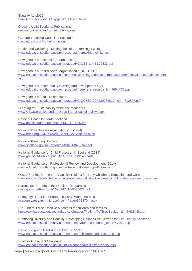Equality Act 2010 [www.legislation.gov.uk/ukpga/2010/15/contents](http://www.legislation.gov.uk/ukpga/2010/15/contents)

Growing Up in Scotland: Publications [growingupinscotland.org.uk/publications](http://growingupinscotland.org.uk/publications)

General Teaching Council of Scotland [www.gtcs.org.uk/home/home.aspx](http://www.gtcs.org.uk/home/home.aspx) 

Health and wellbeing - Making the links … making it work [www.educationscotland.gov.uk/resources/m/makingthelinks.asp](http://www.educationscotland.gov.uk/resources/m/makingthelinks.asp)

How good is our school? (Fourth edition) [www.educationscotland.gov.uk/Images/HGIOS4\\_tcm4-870533.pdf](http://www.educationscotland.gov.uk/Images/HGIOS4_tcm4-870533.pdf)

How good is our third sector organisation? (HGIOTSO) [www.educationscotland.gov.uk/communitylearninganddevelopment/support/selfevaluation/hgiotso/index.](http://www.educationscotland.gov.uk/communitylearninganddevelopment/support/selfevaluation/hgiotso/index.asp) [asp](http://www.educationscotland.gov.uk/communitylearninganddevelopment/support/selfevaluation/hgiotso/index.asp) 

How good is our community learning and development? (2) [www.educationscotland.gov.uk/resources/h/genericresource\\_tcm4654473.asp](http://www.educationscotland.gov.uk/resources/h/genericresource_tcm4654473.asp)

How good is our culture and sport? [www.educationscotland.gov.uk/Images/HGIOC&S%20-%20251012\\_tcm4-712897.pdf](http://www.educationscotland.gov.uk/Images/HGIOC&S%20-%20251012_tcm4-712897.pdf)

Learning for Sustainability within the standards [www.GTCS.org.uk/standards/learning-for-sustainability.aspx](http://www.gtcs.org.uk/standards/learning-for-sustainability.aspx)

National Care Standards Scotland [www.gov.scot/resource/doc/37432/0010250.pdf](http://www.gov.scot/resource/doc/37432/0010250.pdf)

National Day Nursery Association (Scotland) [www.ndna.org.uk/NDNA/All\\_About\\_Us/Scotland.aspx](http://www.ndna.org.uk/NDNA/All_About_Us/Scotland.aspx)

National Parenting Strategy [www.scotland.gov.uk/Resource/0040/00403769.pdf](http://www.scotland.gov.uk/Resource/0040/00403769.pdf)

National Guidance for Child Protection in Scotland (2014) [www.gov.scot/Publications/2014/05/3052/downloads](http://www.gov.scot/Publications/2014/05/3052/downloads) 

National Guidance on Professional Review and Development (2014) [www.educationscotland.gov.uk/professionallearning/prd/index.asp](http://www.educationscotland.gov.uk/professionallearning/prd/index.asp) 

OECD Starting Strong III - A Quality Toolbox for Early Childhood Education and Care [www.oecd.org/edu/school/startingstrongiii-aqualitytoolboxforearlychildhoodeducationandcare.htm](http://www.oecd.org/edu/school/startingstrongiii-aqualitytoolboxforearlychildhoodeducationandcare.htm)

Parents as Partners in their Children's Learning [www.gov.scot/Resource/Doc/147410/0038822.pdf](http://www.gov.scot/Resource/Doc/147410/0038822.pdf)

Pedagogy: The Silent Partner in Early Years Learning [academic.research.microsoft.com/Paper/5054704.aspx](http://academic.research.microsoft.com/Paper/5054704.aspx)

Pre-Birth to Three, Positive outcomes for children and families [https://www.educationscotland.gov.uk/Images/PreBirthToThreeBooklet\\_tcm4-633448.pdf](https://www.educationscotland.gov.uk/Images/PreBirthToThreeBooklet_tcm4-633448.pdf)

Promoting Diversity and Equality: Developing Responsible Citizens for 21<sup>st</sup> Century Scotland [www.educationscotland.gov.uk/resources/p/genericresource\\_tcm4747991.asp](http://www.educationscotland.gov.uk/resources/p/genericresource_tcm4747991.asp)

Recognising and Realising Children's Rights [www.educationscotland.gov.uk/resources/r/childrensrightsresource.asp](http://www.educationscotland.gov.uk/resources/r/childrensrightsresource.asp)

Scottish Attainment Challenge [www.educationscotland.gov.uk/inclusionandequalities/sac/index.asp](http://www.educationscotland.gov.uk/inclusionandequalities/sac/index.asp)

Page | 54 – How good is our early learning and childcare?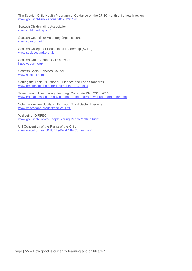The Scottish Child Health Programme: Guidance on the 27-30 month child health review [www.gov.scot/Publications/2012/12/1478](http://www.gov.scot/Publications/2012/12/1478)

Scottish Childminding Association [www.childminding.org/](http://www.childminding.org/)

Scottish Council for Voluntary Organisations [www.scvo.org.uk/](http://www.scvo.org.uk/)

Scottish College for Educational Leadership (SCEL) [www.scelscotland.org.uk](http://www.scelscotland.org.uk/)

Scottish Out of School Care network <https://soscn.org/>

Scottish Social Services Council [www.sssc.uk.com](http://www.sssc.uk.com/)

Setting the Table: Nutritional Guidance and Food Standards [www.healthscotland.com/documents/21130.aspx](http://www.healthscotland.com/documents/21130.aspx)

Transforming lives through learning: Corporate Plan 2013-2016 [www.educationscotland.gov.uk/about/remitandframework/corporateplan.asp](http://www.educationscotland.gov.uk/about/remitandframework/corporateplan.asp)

Voluntary Action Scotland: Find your Third Sector Interface [www.vascotland.org/tsis/find-your-tsi](http://www.vascotland.org/tsis/find-your-tsi)

Wellbeing (GIRFEC) [www.gov.scot/Topics/People/Young-People/gettingitright](http://www.gov.scot/Topics/People/Young-People/gettingitright)

UN Convention of the Rights of the Child [www.unicef.org.uk/UNICEFs-Work/UN-Convention/](http://www.unicef.org.uk/UNICEFs-Work/UN-Convention/)